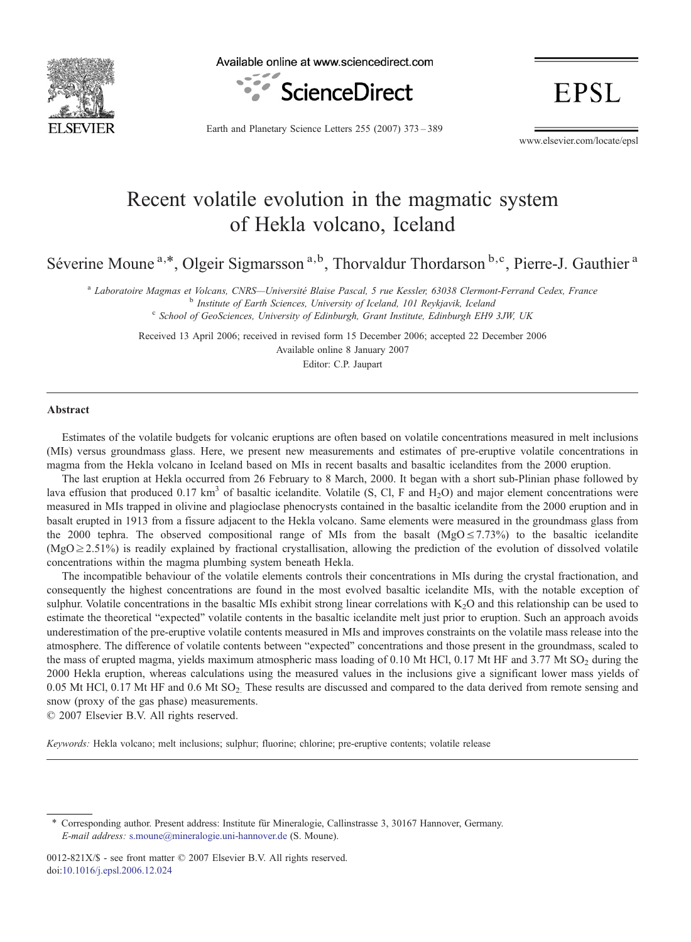

Available online at www.sciencedirect.com



**EPSL** 

Earth and Planetary Science Letters 255 (2007) 373–389

www.elsevier.com/locate/epsl

# Recent volatile evolution in the magmatic system of Hekla volcano, Iceland

Séverine Moune<sup>a,\*</sup>, Olgeir Sigmarsson<sup>a,b</sup>, Thorvaldur Thordarson<sup>b,c</sup>, Pierre-J. Gauthier<sup>a</sup>

<sup>a</sup> Laboratoire Magmas et Volcans, CNRS—Université Blaise Pascal, 5 rue Kessler, 63038 Clermont-Ferrand Cedex, France<br><sup>b</sup> Institute of Earth Sciences, University of Iceland, 101 Reykjavik, Iceland

<sup>c</sup> School of GeoSciences, University of Edinburgh, Grant Institute, Edinburgh EH9 3JW, UK

Received 13 April 2006; received in revised form 15 December 2006; accepted 22 December 2006 Available online 8 January 2007

Editor: C.P. Jaupart

#### **Abstract**

Estimates of the volatile budgets for volcanic eruptions are often based on volatile concentrations measured in melt inclusions (MIs) versus groundmass glass. Here, we present new measurements and estimates of pre-eruptive volatile concentrations in magma from the Hekla volcano in Iceland based on MIs in recent basalts and basaltic icelandites from the 2000 eruption.

The last eruption at Hekla occurred from 26 February to 8 March, 2000. It began with a short sub-Plinian phase followed by lava effusion that produced  $0.17 \text{ km}^3$  of basaltic icelandite. Volatile (S, Cl, F and H<sub>2</sub>O) and major element concentrations were measured in MIs trapped in olivine and plagioclase phenocrysts contained in the basaltic icelandite from the 2000 eruption and in basalt erupted in 1913 from a fissure adjacent to the Hekla volcano. Same elements were measured in the groundmass glass from the 2000 tephra. The observed compositional range of MIs from the basalt (MgO ≤7.73%) to the basaltic icelandite (MgO≥2.51%) is readily explained by fractional crystallisation, allowing the prediction of the evolution of dissolved volatile concentrations within the magma plumbing system beneath Hekla.

The incompatible behaviour of the volatile elements controls their concentrations in MIs during the crystal fractionation, and consequently the highest concentrations are found in the most evolved basaltic icelandite MIs, with the notable exception of sulphur. Volatile concentrations in the basaltic MIs exhibit strong linear correlations with  $K_2O$  and this relationship can be used to estimate the theoretical "expected" volatile contents in the basaltic icelandite melt just prior to eruption. Such an approach avoids underestimation of the pre-eruptive volatile contents measured in MIs and improves constraints on the volatile mass release into the atmosphere. The difference of volatile contents between "expected" concentrations and those present in the groundmass, scaled to the mass of erupted magma, yields maximum atmospheric mass loading of 0.10 Mt HCl, 0.17 Mt HF and 3.77 Mt SO<sub>2</sub> during the 2000 Hekla eruption, whereas calculations using the measured values in the inclusions give a significant lower mass yields of 0.05 Mt HCl, 0.17 Mt HF and 0.6 Mt  $SO<sub>2</sub>$  These results are discussed and compared to the data derived from remote sensing and snow (proxy of the gas phase) measurements.

© 2007 Elsevier B.V. All rights reserved.

Keywords: Hekla volcano; melt inclusions; sulphur; fluorine; chlorine; pre-eruptive contents; volatile release

<sup>⁎</sup> Corresponding author. Present address: Institute für Mineralogie, Callinstrasse 3, 30167 Hannover, Germany. E-mail address: [s.moune@mineralogie.uni-hannover.de](mailto:s.moune@mineralogie.uni-hannover.de) (S. Moune).

<sup>0012-821</sup>X/\$ - see front matter © 2007 Elsevier B.V. All rights reserved. doi[:10.1016/j.epsl.2006.12.024](http://dx.doi.org/10.1016/j.epsl.2006.12.024)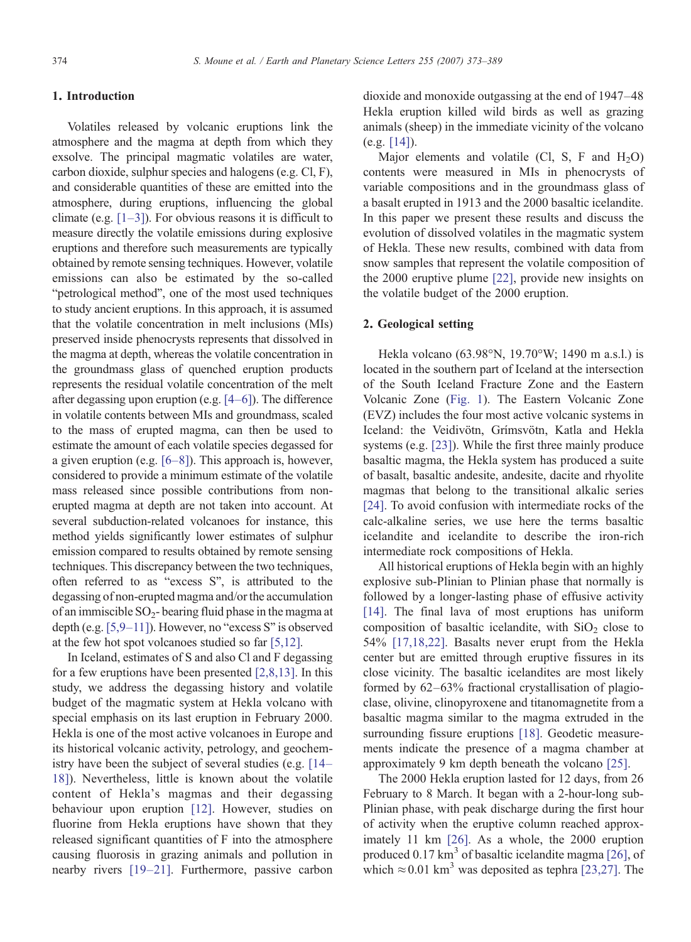# 1. Introduction

Volatiles released by volcanic eruptions link the atmosphere and the magma at depth from which they exsolve. The principal magmatic volatiles are water, carbon dioxide, sulphur species and halogens (e.g. Cl, F), and considerable quantities of these are emitted into the atmosphere, during eruptions, influencing the global climate (e.g.  $[1-3]$  $[1-3]$ ). For obvious reasons it is difficult to measure directly the volatile emissions during explosive eruptions and therefore such measurements are typically obtained by remote sensing techniques. However, volatile emissions can also be estimated by the so-called "petrological method", one of the most used techniques to study ancient eruptions. In this approach, it is assumed that the volatile concentration in melt inclusions (MIs) preserved inside phenocrysts represents that dissolved in the magma at depth, whereas the volatile concentration in the groundmass glass of quenched eruption products represents the residual volatile concentration of the melt after degassing upon eruption (e.g. [\[4](#page-14-0)–6]). The difference in volatile contents between MIs and groundmass, scaled to the mass of erupted magma, can then be used to estimate the amount of each volatile species degassed for a given eruption (e.g. [\[6](#page-14-0)–8]). This approach is, however, considered to provide a minimum estimate of the volatile mass released since possible contributions from nonerupted magma at depth are not taken into account. At several subduction-related volcanoes for instance, this method yields significantly lower estimates of sulphur emission compared to results obtained by remote sensing techniques. This discrepancy between the two techniques, often referred to as "excess S", is attributed to the degassing of non-erupted magma and/or the accumulation of an immiscible  $SO_2$ - bearing fluid phase in the magma at depth (e.g. [\[5,9](#page-14-0)–11]). However, no "excess S" is observed at the few hot spot volcanoes studied so far [\[5,12\]](#page-14-0).

In Iceland, estimates of S and also Cl and F degassing for a few eruptions have been presented  $[2,8,13]$ . In this study, we address the degassing history and volatile budget of the magmatic system at Hekla volcano with special emphasis on its last eruption in February 2000. Hekla is one of the most active volcanoes in Europe and its historical volcanic activity, petrology, and geochemistry have been the subject of several studies (e.g. [\[14](#page-14-0)– [18\]](#page-14-0)). Nevertheless, little is known about the volatile content of Hekla's magmas and their degassing behaviour upon eruption [\[12\]](#page-14-0). However, studies on fluorine from Hekla eruptions have shown that they released significant quantities of F into the atmosphere causing fluorosis in grazing animals and pollution in nearby rivers [\[19](#page-14-0)–21]. Furthermore, passive carbon

dioxide and monoxide outgassing at the end of 1947–48 Hekla eruption killed wild birds as well as grazing animals (sheep) in the immediate vicinity of the volcano (e.g. [\[14\]](#page-14-0)).

Major elements and volatile (Cl, S, F and  $H_2O$ ) contents were measured in MIs in phenocrysts of variable compositions and in the groundmass glass of a basalt erupted in 1913 and the 2000 basaltic icelandite. In this paper we present these results and discuss the evolution of dissolved volatiles in the magmatic system of Hekla. These new results, combined with data from snow samples that represent the volatile composition of the 2000 eruptive plume [\[22\],](#page-14-0) provide new insights on the volatile budget of the 2000 eruption.

# 2. Geological setting

Hekla volcano (63.98°N, 19.70°W; 1490 m a.s.l.) is located in the southern part of Iceland at the intersection of the South Iceland Fracture Zone and the Eastern Volcanic Zone ([Fig. 1\)](#page-2-0). The Eastern Volcanic Zone (EVZ) includes the four most active volcanic systems in Iceland: the Veidivötn, Grímsvötn, Katla and Hekla systems (e.g. [\[23\]](#page-14-0)). While the first three mainly produce basaltic magma, the Hekla system has produced a suite of basalt, basaltic andesite, andesite, dacite and rhyolite magmas that belong to the transitional alkalic series [\[24\].](#page-14-0) To avoid confusion with intermediate rocks of the calc-alkaline series, we use here the terms basaltic icelandite and icelandite to describe the iron-rich intermediate rock compositions of Hekla.

All historical eruptions of Hekla begin with an highly explosive sub-Plinian to Plinian phase that normally is followed by a longer-lasting phase of effusive activity [\[14\].](#page-14-0) The final lava of most eruptions has uniform composition of basaltic icelandite, with  $SiO<sub>2</sub>$  close to 54% [\[17,18,22\].](#page-14-0) Basalts never erupt from the Hekla center but are emitted through eruptive fissures in its close vicinity. The basaltic icelandites are most likely formed by 62–63% fractional crystallisation of plagioclase, olivine, clinopyroxene and titanomagnetite from a basaltic magma similar to the magma extruded in the surrounding fissure eruptions [\[18\]](#page-14-0). Geodetic measurements indicate the presence of a magma chamber at approximately 9 km depth beneath the volcano [\[25\].](#page-14-0)

The 2000 Hekla eruption lasted for 12 days, from 26 February to 8 March. It began with a 2-hour-long sub-Plinian phase, with peak discharge during the first hour of activity when the eruptive column reached approximately 11 km [\[26\].](#page-14-0) As a whole, the 2000 eruption produced 0.17 km<sup>3</sup> of basaltic icelandite magma [\[26\],](#page-14-0) of which  $\approx 0.01 \text{ km}^3$  was deposited as tephra [\[23,27\].](#page-14-0) The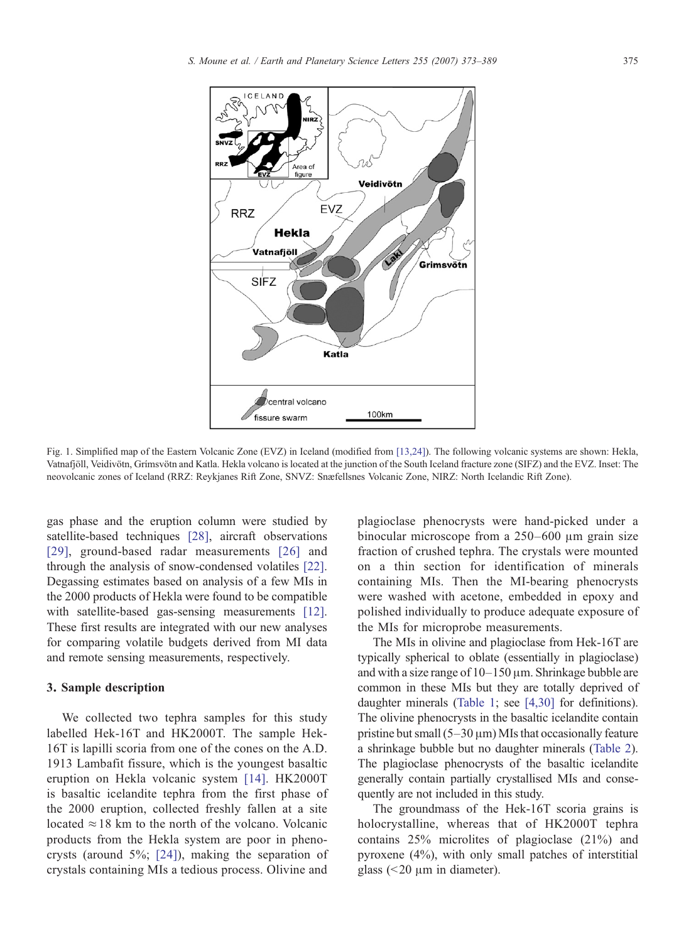<span id="page-2-0"></span>

Fig. 1. Simplified map of the Eastern Volcanic Zone (EVZ) in Iceland (modified from [\[13,24\]](#page-14-0)). The following volcanic systems are shown: Hekla, Vatnafjöll, Veidivötn, Grímsvötn and Katla. Hekla volcano is located at the junction of the South Iceland fracture zone (SIFZ) and the EVZ. Inset: The neovolcanic zones of Iceland (RRZ: Reykjanes Rift Zone, SNVZ: Snæfellsnes Volcanic Zone, NIRZ: North Icelandic Rift Zone).

gas phase and the eruption column were studied by satellite-based techniques [\[28\],](#page-14-0) aircraft observations [\[29\]](#page-15-0), ground-based radar measurements [\[26\]](#page-14-0) and through the analysis of snow-condensed volatiles [\[22\].](#page-14-0) Degassing estimates based on analysis of a few MIs in the 2000 products of Hekla were found to be compatible with satellite-based gas-sensing measurements [\[12\].](#page-14-0) These first results are integrated with our new analyses for comparing volatile budgets derived from MI data and remote sensing measurements, respectively.

## 3. Sample description

We collected two tephra samples for this study labelled Hek-16T and HK2000T. The sample Hek-16T is lapilli scoria from one of the cones on the A.D. 1913 Lambafit fissure, which is the youngest basaltic eruption on Hekla volcanic system [\[14\]](#page-14-0). HK2000T is basaltic icelandite tephra from the first phase of the 2000 eruption, collected freshly fallen at a site located  $\approx$  18 km to the north of the volcano. Volcanic products from the Hekla system are poor in phenocrysts (around 5%; [\[24\]\)](#page-14-0), making the separation of crystals containing MIs a tedious process. Olivine and

plagioclase phenocrysts were hand-picked under a binocular microscope from a 250–600 μm grain size fraction of crushed tephra. The crystals were mounted on a thin section for identification of minerals containing MIs. Then the MI-bearing phenocrysts were washed with acetone, embedded in epoxy and polished individually to produce adequate exposure of the MIs for microprobe measurements.

The MIs in olivine and plagioclase from Hek-16T are typically spherical to oblate (essentially in plagioclase) and with a size range of 10–150 μm. Shrinkage bubble are common in these MIs but they are totally deprived of daughter minerals [\(Table 1;](#page-3-0) see [\[4,30\]](#page-14-0) for definitions). The olivine phenocrysts in the basaltic icelandite contain pristine but small  $(5-30 \,\mu m)$  MIs that occasionally feature a shrinkage bubble but no daughter minerals ([Table 2](#page-4-0)). The plagioclase phenocrysts of the basaltic icelandite generally contain partially crystallised MIs and consequently are not included in this study.

The groundmass of the Hek-16T scoria grains is holocrystalline, whereas that of HK2000T tephra contains 25% microlites of plagioclase (21%) and pyroxene (4%), with only small patches of interstitial glass  $( $20 \mu m$  in diameter).$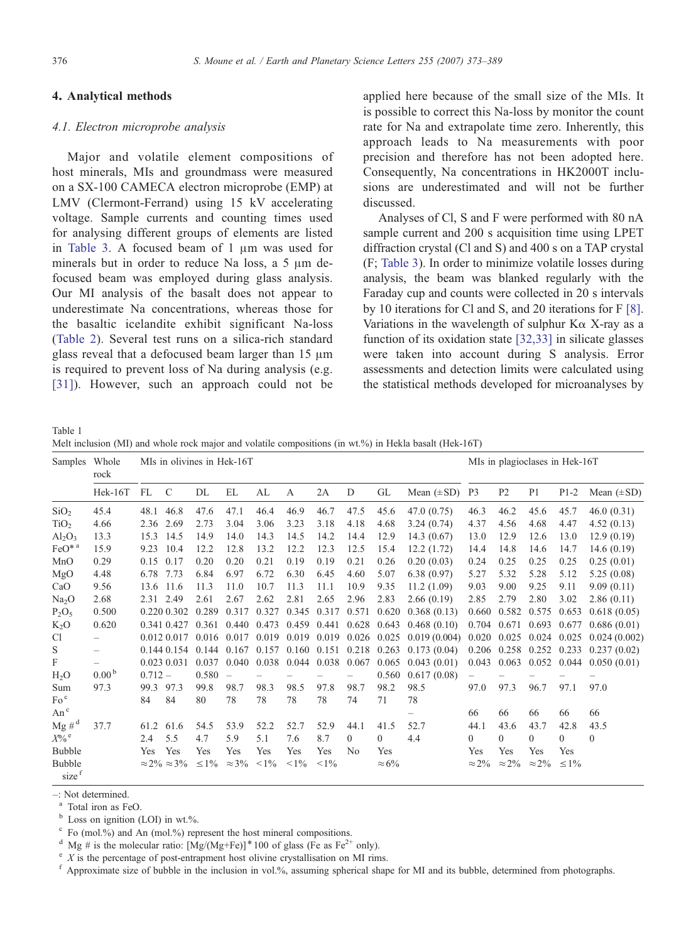# <span id="page-3-0"></span>4. Analytical methods

# 4.1. Electron microprobe analysis

Major and volatile element compositions of host minerals, MIs and groundmass were measured on a SX-100 CAMECA electron microprobe (EMP) at LMV (Clermont-Ferrand) using 15 kV accelerating voltage. Sample currents and counting times used for analysing different groups of elements are listed in [Table 3](#page-4-0). A focused beam of 1 μm was used for minerals but in order to reduce Na loss, a 5 μm defocused beam was employed during glass analysis. Our MI analysis of the basalt does not appear to underestimate Na concentrations, whereas those for the basaltic icelandite exhibit significant Na-loss [\(Table 2](#page-4-0)). Several test runs on a silica-rich standard glass reveal that a defocused beam larger than 15 μm is required to prevent loss of Na during analysis (e.g. [\[31\]](#page-15-0)). However, such an approach could not be

applied here because of the small size of the MIs. It is possible to correct this Na-loss by monitor the count rate for Na and extrapolate time zero. Inherently, this approach leads to Na measurements with poor precision and therefore has not been adopted here. Consequently, Na concentrations in HK2000T inclusions are underestimated and will not be further discussed.

Analyses of Cl, S and F were performed with 80 nA sample current and 200 s acquisition time using LPET diffraction crystal (Cl and S) and 400 s on a TAP crystal (F; [Table 3\)](#page-4-0). In order to minimize volatile losses during analysis, the beam was blanked regularly with the Faraday cup and counts were collected in 20 s intervals by 10 iterations for Cl and S, and 20 iterations for F [\[8\].](#page-14-0) Variations in the wavelength of sulphur  $K\alpha$  X-ray as a function of its oxidation state [\[32,33\]](#page-15-0) in silicate glasses were taken into account during S analysis. Error assessments and detection limits were calculated using the statistical methods developed for microanalyses by

Table 1

Melt inclusion (MI) and whole rock major and volatile compositions (in wt.%) in Hekla basalt (Hek-16T)

| Samples Whole               | rock                     | MIs in olivines in Hek-16T |                           |                 |                          |          |       |             |                                         | MIs in plagioclases in Hek-16T |                 |                          |                |                   |             |                            |
|-----------------------------|--------------------------|----------------------------|---------------------------|-----------------|--------------------------|----------|-------|-------------|-----------------------------------------|--------------------------------|-----------------|--------------------------|----------------|-------------------|-------------|----------------------------|
|                             | $Hek-16T$                | FL                         | C                         | DL              | EL                       | AL       | A     | 2A          | D                                       | GL                             | Mean $(\pm SD)$ | P <sub>3</sub>           | P <sub>2</sub> | P <sub>1</sub>    | $P1-2$      | Mean $(\pm SD)$            |
| SiO <sub>2</sub>            | 45.4                     | 48.1                       | 46.8                      | 47.6            | 47.1                     | 46.4     | 46.9  | 46.7        | 47.5                                    | 45.6                           | 47.0 (0.75)     | 46.3                     | 46.2           | 45.6              | 45.7        | 46.0(0.31)                 |
| TiO <sub>2</sub>            | 4.66                     | 2.36                       | 2.69                      | 2.73            | 3.04                     | 3.06     | 3.23  | 3.18        | 4.18                                    | 4.68                           | 3.24(0.74)      | 4.37                     | 4.56           | 4.68              | 4.47        | 4.52(0.13)                 |
| $Al_2O_3$                   | 13.3                     | 15.3                       | 14.5                      | 14.9            | 14.0                     | 14.3     | 14.5  | 14.2        | 14.4                                    | 12.9                           | 14.3(0.67)      | 13.0                     | 12.9           | 12.6              | 13.0        | 12.9(0.19)                 |
| FeO* <sup>a</sup>           | 15.9                     | 9.23                       | 10.4                      | 12.2            | 12.8                     | 13.2     | 12.2  | 12.3        | 12.5                                    | 15.4                           | 12.2(1.72)      | 14.4                     | 14.8           | 14.6              | 14.7        | 14.6(0.19)                 |
| MnO                         | 0.29                     | 0.15                       | 0.17                      | 0.20            | 0.20                     | 0.21     | 0.19  | 0.19        | 0.21                                    | 0.26                           | 0.20(0.03)      | 0.24                     | 0.25           | 0.25              | 0.25        | 0.25(0.01)                 |
| MgO                         | 4.48                     | 6.78                       | 7.73                      | 6.84            | 6.97                     | 6.72     | 6.30  | 6.45        | 4.60                                    | 5.07                           | 6.38(0.97)      | 5.27                     | 5.32           | 5.28              | 5.12        | 5.25(0.08)                 |
| CaO                         | 9.56                     | 13.6                       | 11.6                      | 11.3            | 11.0                     | 10.7     | 11.3  | 11.1        | 10.9                                    | 9.35                           | 11.2(1.09)      | 9.03                     | 9.00           | 9.25              | 9.11        | 9.09(0.11)                 |
| Na <sub>2</sub> O           | 2.68                     |                            | 2.31 2.49                 | 2.61            | 2.67                     | 2.62     | 2.81  | 2.65        | 2.96                                    | 2.83                           | 2.66(0.19)      | 2.85                     | 2.79           | 2.80              | 3.02        | 2.86(0.11)                 |
| $P_2O_5$                    | 0.500                    |                            | 0.220 0.302               | 0.289           | 0.317                    | 0.327    |       |             | 0.345 0.317 0.571                       | 0.620                          | 0.368(0.13)     | 0.660                    | 0.582          | 0.575 0.653       |             | 0.618(0.05)                |
| $K_2O$                      | 0.620                    |                            | 0.341 0.427               |                 | 0.361 0.440              | 0.473    |       |             | 0.459 0.441 0.628 0.643                 |                                | 0.468(0.10)     | 0.704                    | 0.671          | 0.693 0.677       |             | 0.686(0.01)                |
| Cl                          |                          |                            | 0.012 0.017               |                 | 0.016 0.017              |          |       |             | $0.019$ $0.019$ $0.019$ $0.026$ $0.025$ |                                | 0.019(0.004)    | 0.020                    | 0.025          |                   | 0.024 0.025 | 0.024(0.002)               |
| S                           |                          |                            | 0.1440.154                | $0.144$ $0.167$ |                          |          |       |             | 0.157 0.160 0.151 0.218 0.263           |                                | 0.173(0.04)     | 0.206                    |                | 0.258 0.252 0.233 |             | 0.237(0.02)                |
| F                           | $\overline{\phantom{0}}$ |                            | 0.023 0.031               | 0.037           | 0.040                    | 0.038    |       | 0.044 0.038 | 0.067                                   | 0.065                          | 0.043(0.01)     | 0.043                    | 0.063          |                   |             | $0.052$ 0.044 0.050 (0.01) |
| $H_2O$                      | 0.00 <sup>b</sup>        | $0.712 -$                  |                           | 0.580           | $\overline{\phantom{a}}$ |          |       |             |                                         | 0.560                          | 0.617(0.08)     | $\overline{\phantom{0}}$ |                |                   |             |                            |
| Sum                         | 97.3                     | 99.3                       | 97.3                      | 99.8            | 98.7                     | 98.3     | 98.5  | 97.8        | 98.7                                    | 98.2                           | 98.5            | 97.0                     | 97.3           | 96.7              | 97.1        | 97.0                       |
| Fo <sup>c</sup>             |                          | 84                         | 84                        | 80              | 78                       | 78       | 78    | 78          | 74                                      | 71                             | 78              |                          |                |                   |             |                            |
| An <sup>c</sup>             |                          |                            |                           |                 |                          |          |       |             |                                         |                                |                 | 66                       | 66             | 66                | 66          | 66                         |
| $Mg \#^d$                   | 37.7                     | 61.2                       | 61.6                      | 54.5            | 53.9                     | 52.2     | 52.7  | 52.9        | 44.1                                    | 41.5                           | 52.7            | 44.1                     | 43.6           | 43.7              | 42.8        | 43.5                       |
| $X\%$ <sup>e</sup>          |                          | 2.4                        | 5.5                       | 4.7             | 5.9                      | 5.1      | 7.6   | 8.7         | $\Omega$                                | $\Omega$                       | 4.4             | $\Omega$                 | $\Omega$       | $\Omega$          | $\Omega$    | $\theta$                   |
| <b>Bubble</b>               |                          | Yes                        | Yes                       | Yes             | Yes                      | Yes      | Yes   | Yes         | N <sub>0</sub>                          | Yes                            |                 | Yes                      | Yes            | Yes               | Yes         |                            |
| Bubble<br>size <sup>f</sup> |                          |                            | $\approx$ 2% $\approx$ 3% | $\leq 1\%$      | $\approx$ 3%             | ${<}1\%$ | $1\%$ | $1\%$       |                                         | $\approx 6\%$                  |                 | $\approx$ 2%             | $\approx$ 2%   | $\approx$ 2%      | $\leq 1\%$  |                            |

–: Not determined.

<sup>a</sup> Total iron as FeO.<br><sup>b</sup> Loss on ignition (LOI) in wt.%.<br><sup>c</sup> Fo (mol.%) and An (mol.%) represent the host mineral compositions.<br><sup>d</sup> Mg # is the molecular ratio: [Mg/(Mg+Fe)] \* 100 of glass (Fe as Fe<sup>2+</sup> only).<br><sup>e</sup> X is

 $f$  Approximate size of bubble in the inclusion in vol.%, assuming spherical shape for MI and its bubble, determined from photographs.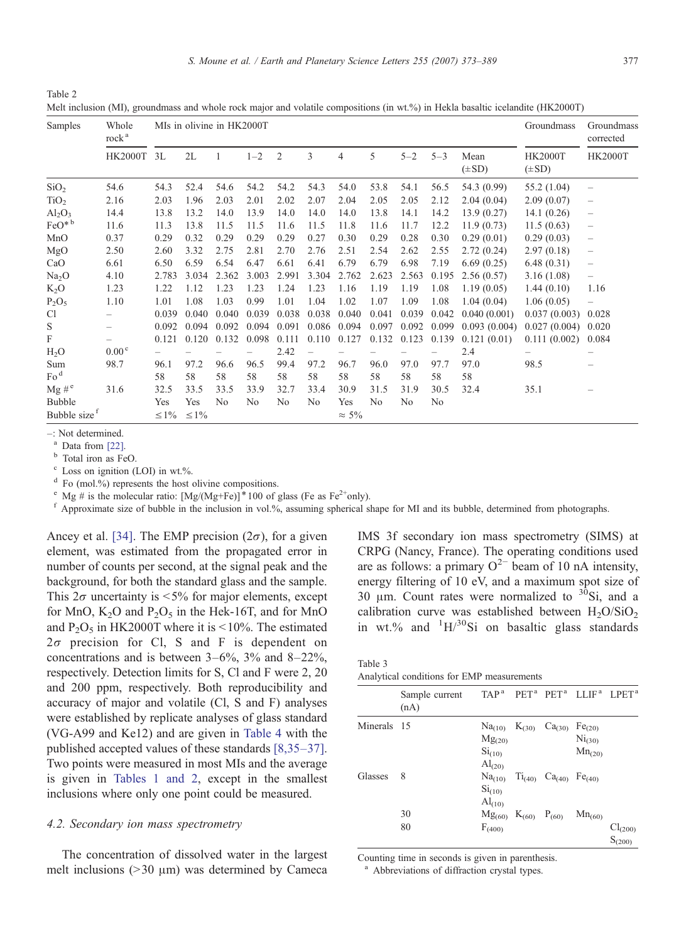<span id="page-4-0"></span>Table 2

Melt inclusion (MI), groundmass and whole rock major and volatile compositions (in wt.%) in Hekla basaltic icelandite (HK2000T)

| Samples                  | Whole<br>rock <sup>a</sup> | MIs in olivine in HK2000T |            |                |         |                |                |                |                |         |         | Groundmass         | Groundmass<br>corrected      |                   |
|--------------------------|----------------------------|---------------------------|------------|----------------|---------|----------------|----------------|----------------|----------------|---------|---------|--------------------|------------------------------|-------------------|
|                          | <b>HK2000T</b>             | 3L                        | 2L         | $\overline{1}$ | $1 - 2$ | $\overline{2}$ | 3              | $\overline{4}$ | 5              | $5 - 2$ | $5 - 3$ | Mean<br>$(\pm SD)$ | <b>HK2000T</b><br>$(\pm SD)$ | <b>HK2000T</b>    |
| SiO <sub>2</sub>         | 54.6                       | 54.3                      | 52.4       | 54.6           | 54.2    | 54.2           | 54.3           | 54.0           | 53.8           | 54.1    | 56.5    | 54.3 (0.99)        | 55.2 (1.04)                  |                   |
| TiO <sub>2</sub>         | 2.16                       | 2.03                      | 1.96       | 2.03           | 2.01    | 2.02           | 2.07           | 2.04           | 2.05           | 2.05    | 2.12    | 2.04(0.04)         | 2.09(0.07)                   |                   |
| $Al_2O_3$                | 14.4                       | 13.8                      | 13.2       | 14.0           | 13.9    | 14.0           | 14.0           | 14.0           | 13.8           | 14.1    | 14.2    | 13.9(0.27)         | 14.1(0.26)                   |                   |
| $FeO*$                   | 11.6                       | 11.3                      | 13.8       | 11.5           | 11.5    | 11.6           | 11.5           | 11.8           | 11.6           | 11.7    | 12.2    | 11.9(0.73)         | 11.5(0.63)                   |                   |
| MnO                      | 0.37                       | 0.29                      | 0.32       | 0.29           | 0.29    | 0.29           | 0.27           | 0.30           | 0.29           | 0.28    | 0.30    | 0.29(0.01)         | 0.29(0.03)                   |                   |
| MgO                      | 2.50                       | 2.60                      | 3.32       | 2.75           | 2.81    | 2.70           | 2.76           | 2.51           | 2.54           | 2.62    | 2.55    | 2.72(0.24)         | 2.97(0.18)                   |                   |
| CaO                      | 6.61                       | 6.50                      | 6.59       | 6.54           | 6.47    | 6.61           | 6.41           | 6.79           | 6.79           | 6.98    | 7.19    | 6.69(0.25)         | 6.48(0.31)                   |                   |
| Na <sub>2</sub> O        | 4.10                       | 2.783                     | 3.034      | 2.362          | 3.003   | 2.991          | 3.304          | 2.762          | 2.623          | 2.563   | 0.195   | 2.56(0.57)         | 3.16(1.08)                   | $\qquad \qquad -$ |
| $K_2O$                   | 1.23                       | 1.22                      | 1.12       | 1.23           | 1.23    | 1.24           | 1.23           | 1.16           | 1.19           | 1.19    | 1.08    | 1.19(0.05)         | 1.44(0.10)                   | 1.16              |
| $P_2O_5$                 | 1.10                       | 1.01                      | 1.08       | 1.03           | 0.99    | 1.01           | 1.04           | 1.02           | 1.07           | 1.09    | 1.08    | 1.04(0.04)         | 1.06(0.05)                   |                   |
| C1                       |                            | 0.039                     | 0.040      | 0.040          | 0.039   | 0.038          | 0.038          | 0.040          | 0.041          | 0.039   | 0.042   | 0.040(0.001)       | 0.037(0.003)                 | 0.028             |
| S                        |                            | 0.092                     | 0.094      | 0.092          | 0.094   | 0.091          | 0.086          | 0.094          | 0.097          | 0.092   | 0.099   | 0.093(0.004)       | 0.027(0.004)                 | 0.020             |
| F                        | -                          | 0.121                     | 0.120      | 0.132          | 0.098   | 0.111          | 0.110          | 0.127          | 0.132          | 0.123   | 0.139   | 0.121(0.01)        | 0.111(0.002)                 | 0.084             |
| $H_2O$                   | $0.00^{\circ}$             |                           |            |                |         | 2.42           |                |                |                |         |         | 2.4                |                              |                   |
| Sum                      | 98.7                       | 96.1                      | 97.2       | 96.6           | 96.5    | 99.4           | 97.2           | 96.7           | 96.0           | 97.0    | 97.7    | 97.0               | 98.5                         |                   |
| Fo <sup>d</sup>          |                            | 58                        | 58         | 58             | 58      | 58             | 58             | 58             | 58             | 58      | 58      | 58                 |                              |                   |
| $Mg \#^e$                | 31.6                       | 32.5                      | 33.5       | 33.5           | 33.9    | 32.7           | 33.4           | 30.9           | 31.5           | 31.9    | 30.5    | 32.4               | 35.1                         |                   |
| <b>Bubble</b>            |                            | Yes                       | Yes        | N <sub>0</sub> | No      | N <sub>0</sub> | N <sub>0</sub> | Yes            | N <sub>0</sub> | No      | No      |                    |                              |                   |
| Bubble size <sup>f</sup> |                            | $\leq 1\%$                | $\leq 1\%$ |                |         |                |                | $\approx 5\%$  |                |         |         |                    |                              |                   |

–: Not determined.

<sup>a</sup> Data from [\[22\]](#page-14-0).<br><sup>b</sup> Total iron as FeO.<br><sup>c</sup> Loss on ignition (LOI) in wt.%.

<sup>d</sup> Fo (mol.%) represents the host olivine compositions.<br>
<sup>e</sup> Mg # is the molecular ratio: [Mg/(Mg+Fe)] \* 100 of glass (Fe as Fe<sup>2+</sup>only).<br>
<sup>f</sup> Approximate size of bubble in the inclusion in vol.%, assuming spherical shap

Ancey et al. [\[34\].](#page-15-0) The EMP precision  $(2\sigma)$ , for a given element, was estimated from the propagated error in number of counts per second, at the signal peak and the background, for both the standard glass and the sample. This  $2\sigma$  uncertainty is  $\leq 5\%$  for major elements, except for MnO,  $K_2O$  and  $P_2O_5$  in the Hek-16T, and for MnO and  $P_2O_5$  in HK2000T where it is <10%. The estimated  $2\sigma$  precision for Cl, S and F is dependent on concentrations and is between 3–6%, 3% and 8–22%, respectively. Detection limits for S, Cl and F were 2, 20 and 200 ppm, respectively. Both reproducibility and accuracy of major and volatile (Cl, S and F) analyses were established by replicate analyses of glass standard (VG-A99 and Ke12) and are given in [Table 4](#page-7-0) with the published accepted values of these standards [\[8,35](#page-14-0)–37]. Two points were measured in most MIs and the average is given in [Tables 1 and 2,](#page-3-0) except in the smallest inclusions where only one point could be measured.

#### 4.2. Secondary ion mass spectrometry

The concentration of dissolved water in the largest melt inclusions  $(>30 \mu m)$  was determined by Cameca

IMS 3f secondary ion mass spectrometry (SIMS) at CRPG (Nancy, France). The operating conditions used are as follows: a primary  $O^{2-}$  beam of 10 nA intensity, energy filtering of 10 eV, and a maximum spot size of 30  $\mu$ m. Count rates were normalized to  $3\overline{0}$ Si, and a calibration curve was established between  $H_2O/SiO_2$ in wt.% and  ${}^{1}H/{}^{30}Si$  on basaltic glass standards

| Table 3 |  |                                            |
|---------|--|--------------------------------------------|
|         |  | Analytical conditions for EMP measurements |

|             | Sample current<br>(nA) |                                                                                                    |                                     | TAP <sup>a</sup> PET <sup>a</sup> PET <sup>a</sup> LLIF <sup>a</sup> LPET <sup>a</sup> |                             |
|-------------|------------------------|----------------------------------------------------------------------------------------------------|-------------------------------------|----------------------------------------------------------------------------------------|-----------------------------|
| Minerals 15 |                        | $Na_{(10)}$ $K_{(30)}$ $Ca_{(30)}$ $Fe_{(20)}$<br>$Mg_{(20)}$<br>Si <sub>(10)</sub><br>$Al_{(20)}$ |                                     | $Ni_{(30)}$<br>$Mn_{(20)}$                                                             |                             |
| Glasses     | 8                      | $Na_{(10)}$<br>Si <sub>(10)</sub><br>$Al_{(10)}$                                                   | $Ti_{(40)}$ $Ca_{(40)}$ $Fe_{(40)}$ |                                                                                        |                             |
|             | 30                     | $Mg_{(60)}$ $K_{(60)}$ $P_{(60)}$                                                                  |                                     | $Mn_{(60)}$                                                                            |                             |
|             | 80                     | $F_{(400)}$                                                                                        |                                     |                                                                                        | $Cl_{(200)}$<br>$S_{(200)}$ |

Counting time in seconds is given in parenthesis.

<sup>a</sup> Abbreviations of diffraction crystal types.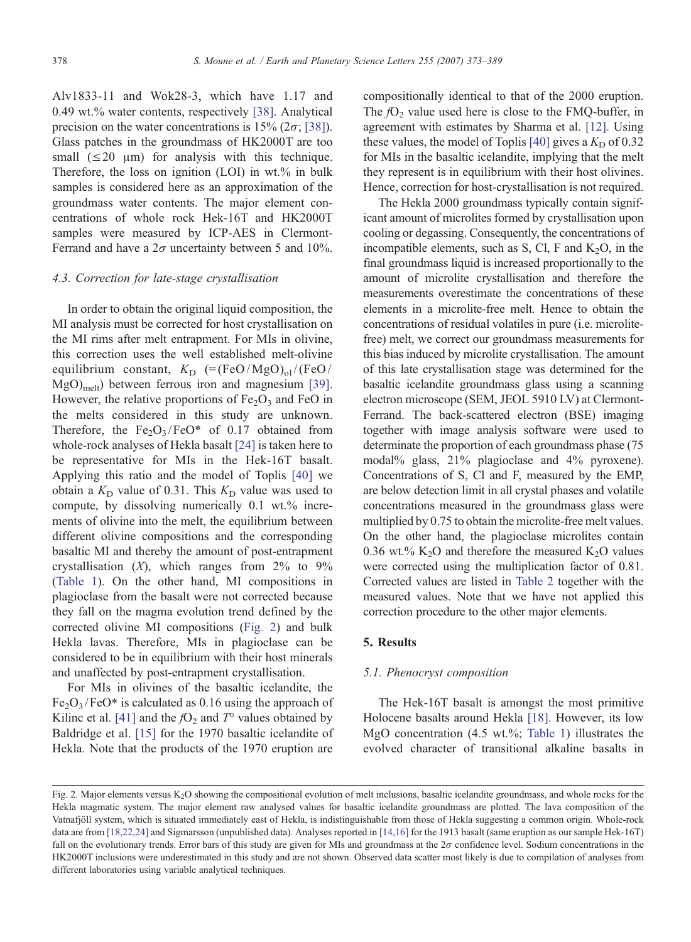<span id="page-5-0"></span>Alv1833-11 and Wok28-3, which have 1.17 and 0.49 wt.% water contents, respectively [\[38\].](#page-15-0) Analytical precision on the water concentrations is  $15\%$  ( $2\sigma$ ; [\[38\]\)](#page-15-0). Glass patches in the groundmass of HK2000T are too small  $(\leq 20 \mu m)$  for analysis with this technique. Therefore, the loss on ignition (LOI) in wt.% in bulk samples is considered here as an approximation of the groundmass water contents. The major element concentrations of whole rock Hek-16T and HK2000T samples were measured by ICP-AES in Clermont-Ferrand and have a  $2\sigma$  uncertainty between 5 and 10%.

#### 4.3. Correction for late-stage crystallisation

In order to obtain the original liquid composition, the MI analysis must be corrected for host crystallisation on the MI rims after melt entrapment. For MIs in olivine, this correction uses the well established melt-olivine equilibrium constant,  $K_D$  (= (FeO/MgO)<sub>ol</sub>/(FeO/  $MgO<sub>meth</sub>$ ) between ferrous iron and magnesium [\[39\].](#page-15-0) However, the relative proportions of  $Fe<sub>2</sub>O<sub>3</sub>$  and FeO in the melts considered in this study are unknown. Therefore, the  $Fe<sub>2</sub>O<sub>3</sub>/FeO<sup>*</sup>$  of 0.17 obtained from whole-rock analyses of Hekla basalt [\[24\]](#page-14-0) is taken here to be representative for MIs in the Hek-16T basalt. Applying this ratio and the model of Toplis [\[40\]](#page-15-0) we obtain a  $K<sub>D</sub>$  value of 0.31. This  $K<sub>D</sub>$  value was used to compute, by dissolving numerically 0.1 wt.% increments of olivine into the melt, the equilibrium between different olivine compositions and the corresponding basaltic MI and thereby the amount of post-entrapment crystallisation  $(X)$ , which ranges from  $2\%$  to  $9\%$ [\(Table 1\)](#page-3-0). On the other hand, MI compositions in plagioclase from the basalt were not corrected because they fall on the magma evolution trend defined by the corrected olivine MI compositions (Fig. 2) and bulk Hekla lavas. Therefore, MIs in plagioclase can be considered to be in equilibrium with their host minerals and unaffected by post-entrapment crystallisation.

For MIs in olivines of the basaltic icelandite, the  $Fe<sub>2</sub>O<sub>3</sub>/FeO<sup>*</sup>$  is calculated as 0.16 using the approach of Kilinc et al. [\[41\]](#page-15-0) and the  $fO_2$  and  $T<sup>o</sup>$  values obtained by Baldridge et al. [\[15\]](#page-14-0) for the 1970 basaltic icelandite of Hekla. Note that the products of the 1970 eruption are

compositionally identical to that of the 2000 eruption. The  $fO<sub>2</sub>$  value used here is close to the FMQ-buffer, in agreement with estimates by Sharma et al. [\[12\].](#page-14-0) Using these values, the model of Toplis [\[40\]](#page-15-0) gives a  $K<sub>D</sub>$  of 0.32 for MIs in the basaltic icelandite, implying that the melt they represent is in equilibrium with their host olivines. Hence, correction for host-crystallisation is not required.

The Hekla 2000 groundmass typically contain significant amount of microlites formed by crystallisation upon cooling or degassing. Consequently, the concentrations of incompatible elements, such as  $S$ ,  $Cl$ ,  $F$  and  $K<sub>2</sub>O$ , in the final groundmass liquid is increased proportionally to the amount of microlite crystallisation and therefore the measurements overestimate the concentrations of these elements in a microlite-free melt. Hence to obtain the concentrations of residual volatiles in pure (i.e. microlitefree) melt, we correct our groundmass measurements for this bias induced by microlite crystallisation. The amount of this late crystallisation stage was determined for the basaltic icelandite groundmass glass using a scanning electron microscope (SEM, JEOL 5910 LV) at Clermont-Ferrand. The back-scattered electron (BSE) imaging together with image analysis software were used to determinate the proportion of each groundmass phase (75 modal% glass, 21% plagioclase and 4% pyroxene). Concentrations of S, Cl and F, measured by the EMP, are below detection limit in all crystal phases and volatile concentrations measured in the groundmass glass were multiplied by 0.75 to obtain the microlite-free melt values. On the other hand, the plagioclase microlites contain 0.36 wt.%  $K_2O$  and therefore the measured  $K_2O$  values were corrected using the multiplication factor of 0.81. Corrected values are listed in [Table 2](#page-4-0) together with the measured values. Note that we have not applied this correction procedure to the other major elements.

# 5. Results

# 5.1. Phenocryst composition

The Hek-16T basalt is amongst the most primitive Holocene basalts around Hekla [\[18\]](#page-14-0). However, its low MgO concentration (4.5 wt.%; [Table 1](#page-3-0)) illustrates the evolved character of transitional alkaline basalts in

Fig. 2. Major elements versus  $K<sub>2</sub>O$  showing the compositional evolution of melt inclusions, basaltic icelandite groundmass, and whole rocks for the Hekla magmatic system. The major element raw analysed values for basaltic icelandite groundmass are plotted. The lava composition of the Vatnafjöll system, which is situated immediately east of Hekla, is indistinguishable from those of Hekla suggesting a common origin. Whole-rock data are from [\[18,22,24\]](#page-14-0) and Sigmarsson (unpublished data). Analyses reported in [\[14,16\]](#page-14-0) for the 1913 basalt (same eruption as our sample Hek-16T) fall on the evolutionary trends. Error bars of this study are given for MIs and groundmass at the  $2\sigma$  confidence level. Sodium concentrations in the HK2000T inclusions were underestimated in this study and are not shown. Observed data scatter most likely is due to compilation of analyses from different laboratories using variable analytical techniques.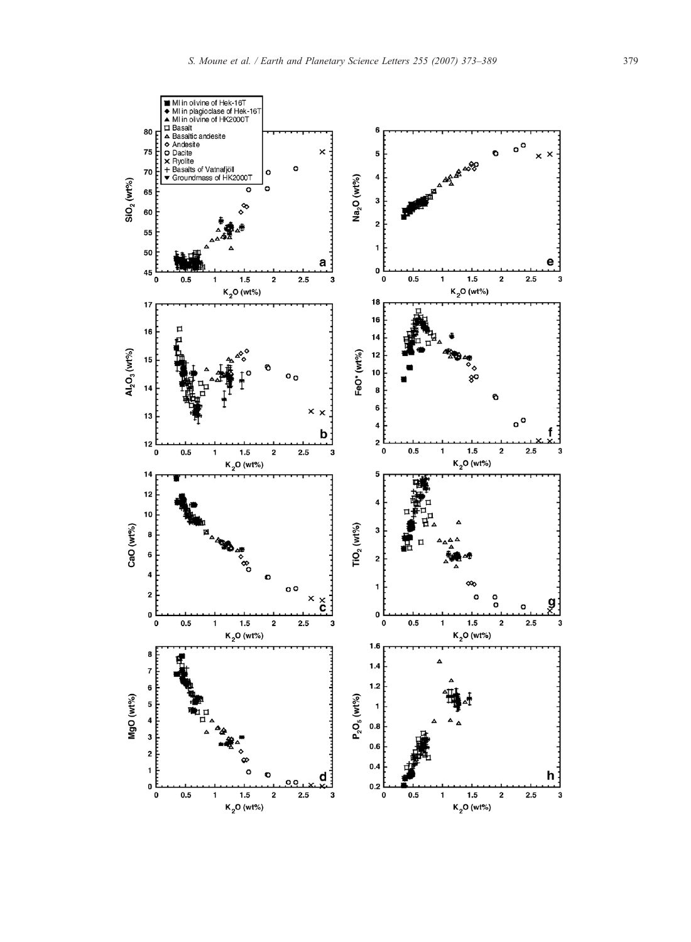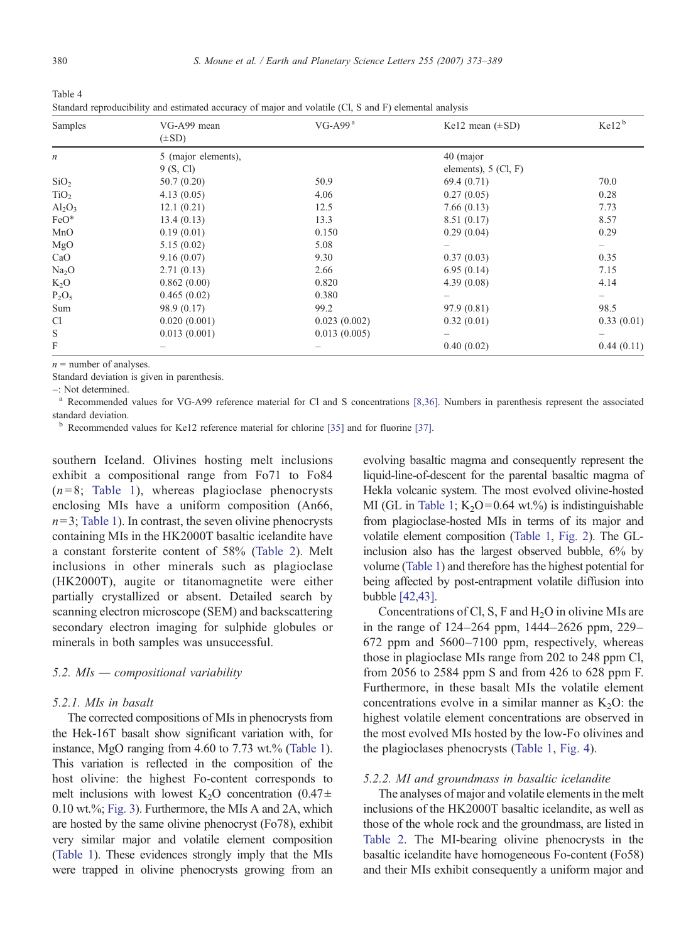<span id="page-7-0"></span>

| Table 4                                                                                                |
|--------------------------------------------------------------------------------------------------------|
| Standard reproducibility and estimated accuracy of major and volatile (Cl, S and F) elemental analysis |

| Samples           | VG-A99 mean         | $VG-A99a$    | Ke12 mean $(\pm SD)$   | Ke12 <sup>b</sup> |
|-------------------|---------------------|--------------|------------------------|-------------------|
|                   | $(\pm SD)$          |              |                        |                   |
| $\boldsymbol{n}$  | 5 (major elements), |              | 40 (major              |                   |
|                   | 9(S, C1)            |              | elements), $5$ (Cl, F) |                   |
| SiO <sub>2</sub>  | 50.7 (0.20)         | 50.9         | 69.4 (0.71)            | 70.0              |
| TiO <sub>2</sub>  | 4.13(0.05)          | 4.06         | 0.27(0.05)             | 0.28              |
| $Al_2O_3$         | 12.1(0.21)          | 12.5         | 7.66(0.13)             | 7.73              |
| $FeO*$            | 13.4(0.13)          | 13.3         | 8.51(0.17)             | 8.57              |
| MnO               | 0.19(0.01)          | 0.150        | 0.29(0.04)             | 0.29              |
| MgO               | 5.15(0.02)          | 5.08         |                        |                   |
| CaO               | 9.16(0.07)          | 9.30         | 0.37(0.03)             | 0.35              |
| Na <sub>2</sub> O | 2.71(0.13)          | 2.66         | 6.95(0.14)             | 7.15              |
| $K_2O$            | 0.862(0.00)         | 0.820        | 4.39(0.08)             | 4.14              |
| $P_2O_5$          | 0.465(0.02)         | 0.380        |                        |                   |
| Sum               | 98.9 (0.17)         | 99.2         | 97.9 (0.81)            | 98.5              |
| C <sub>1</sub>    | 0.020(0.001)        | 0.023(0.002) | 0.32(0.01)             | 0.33(0.01)        |
| S                 | 0.013(0.001)        | 0.013(0.005) |                        |                   |
| F                 |                     |              | 0.40(0.02)             | 0.44(0.11)        |

 $n =$  number of analyses.

Standard deviation is given in parenthesis.

–: Not determined.

<sup>a</sup> Recommended values for VG-A99 reference material for Cl and S concentrations [\[8,36\].](#page-14-0) Numbers in parenthesis represent the associated standard deviation.

<sup>b</sup> Recommended values for Ke12 reference material for chlorine [\[35\]](#page-15-0) and for fluorine [\[37\]](#page-15-0).

southern Iceland. Olivines hosting melt inclusions exhibit a compositional range from Fo71 to Fo84  $(n=8;$  [Table 1](#page-3-0)), whereas plagioclase phenocrysts enclosing MIs have a uniform composition (An66,  $n=3$ ; [Table 1\)](#page-3-0). In contrast, the seven olivine phenocrysts containing MIs in the HK2000T basaltic icelandite have a constant forsterite content of 58% ([Table 2](#page-4-0)). Melt inclusions in other minerals such as plagioclase (HK2000T), augite or titanomagnetite were either partially crystallized or absent. Detailed search by scanning electron microscope (SEM) and backscattering secondary electron imaging for sulphide globules or minerals in both samples was unsuccessful.

# 5.2. MIs — compositional variability

### 5.2.1. MIs in basalt

The corrected compositions of MIs in phenocrysts from the Hek-16T basalt show significant variation with, for instance, MgO ranging from 4.60 to 7.73 wt.% [\(Table 1\)](#page-3-0). This variation is reflected in the composition of the host olivine: the highest Fo-content corresponds to melt inclusions with lowest K<sub>2</sub>O concentration  $(0.47\pm$ 0.10 wt.%; [Fig. 3\)](#page-8-0). Furthermore, the MIs A and 2A, which are hosted by the same olivine phenocryst (Fo78), exhibit very similar major and volatile element composition [\(Table 1\)](#page-3-0). These evidences strongly imply that the MIs were trapped in olivine phenocrysts growing from an evolving basaltic magma and consequently represent the liquid-line-of-descent for the parental basaltic magma of Hekla volcanic system. The most evolved olivine-hosted MI (GL in [Table 1](#page-3-0);  $K_2O=0.64$  wt.%) is indistinguishable from plagioclase-hosted MIs in terms of its major and volatile element composition [\(Table 1](#page-3-0), [Fig. 2\)](#page-5-0). The GLinclusion also has the largest observed bubble, 6% by volume [\(Table 1\)](#page-3-0) and therefore has the highest potential for being affected by post-entrapment volatile diffusion into bubble [\[42,43\]](#page-15-0).

Concentrations of Cl, S, F and  $H<sub>2</sub>O$  in olivine MIs are in the range of 124–264 ppm, 1444–2626 ppm, 229– 672 ppm and 5600–7100 ppm, respectively, whereas those in plagioclase MIs range from 202 to 248 ppm Cl, from 2056 to 2584 ppm S and from 426 to 628 ppm F. Furthermore, in these basalt MIs the volatile element concentrations evolve in a similar manner as  $K_2O$ : the highest volatile element concentrations are observed in the most evolved MIs hosted by the low-Fo olivines and the plagioclases phenocrysts [\(Table 1,](#page-3-0) [Fig. 4\)](#page-9-0).

## 5.2.2. MI and groundmass in basaltic icelandite

The analyses of major and volatile elements in the melt inclusions of the HK2000T basaltic icelandite, as well as those of the whole rock and the groundmass, are listed in [Table 2](#page-4-0). The MI-bearing olivine phenocrysts in the basaltic icelandite have homogeneous Fo-content (Fo58) and their MIs exhibit consequently a uniform major and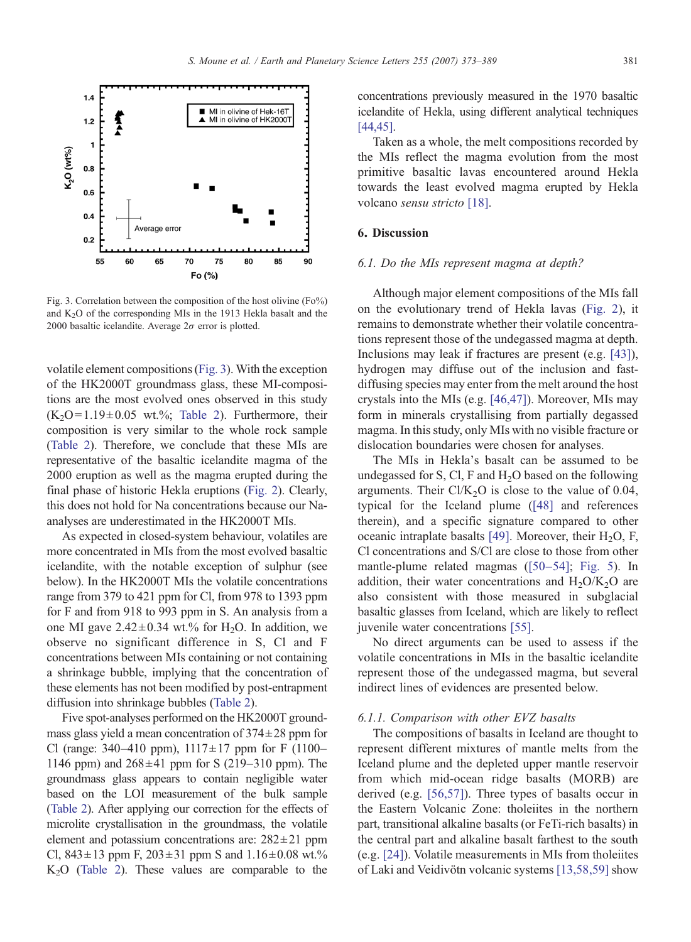<span id="page-8-0"></span>

Fig. 3. Correlation between the composition of the host olivine (Fo%) and K2O of the corresponding MIs in the 1913 Hekla basalt and the 2000 basaltic icelandite. Average  $2\sigma$  error is plotted.

volatile element compositions (Fig. 3). With the exception of the HK2000T groundmass glass, these MI-compositions are the most evolved ones observed in this study  $(K_2O=1.19\pm0.05$  wt.%; [Table 2](#page-4-0)). Furthermore, their composition is very similar to the whole rock sample [\(Table 2\)](#page-4-0). Therefore, we conclude that these MIs are representative of the basaltic icelandite magma of the 2000 eruption as well as the magma erupted during the final phase of historic Hekla eruptions [\(Fig. 2\)](#page-5-0). Clearly, this does not hold for Na concentrations because our Naanalyses are underestimated in the HK2000T MIs.

As expected in closed-system behaviour, volatiles are more concentrated in MIs from the most evolved basaltic icelandite, with the notable exception of sulphur (see below). In the HK2000T MIs the volatile concentrations range from 379 to 421 ppm for Cl, from 978 to 1393 ppm for F and from 918 to 993 ppm in S. An analysis from a one MI gave  $2.42 \pm 0.34$  wt.% for H<sub>2</sub>O. In addition, we observe no significant difference in S, Cl and F concentrations between MIs containing or not containing a shrinkage bubble, implying that the concentration of these elements has not been modified by post-entrapment diffusion into shrinkage bubbles [\(Table 2](#page-4-0)).

Five spot-analyses performed on the HK2000T groundmass glass yield a mean concentration of  $374 \pm 28$  ppm for Cl (range: 340–410 ppm),  $1117 \pm 17$  ppm for F (1100– 1146 ppm) and  $268 \pm 41$  ppm for S (219–310 ppm). The groundmass glass appears to contain negligible water based on the LOI measurement of the bulk sample [\(Table 2\)](#page-4-0). After applying our correction for the effects of microlite crystallisation in the groundmass, the volatile element and potassium concentrations are:  $282 \pm 21$  ppm Cl,  $843 \pm 13$  ppm F,  $203 \pm 31$  ppm S and  $1.16 \pm 0.08$  wt.%  $K<sub>2</sub>O$  [\(Table 2](#page-4-0)). These values are comparable to the

concentrations previously measured in the 1970 basaltic icelandite of Hekla, using different analytical techniques [\[44,45\].](#page-15-0)

Taken as a whole, the melt compositions recorded by the MIs reflect the magma evolution from the most primitive basaltic lavas encountered around Hekla towards the least evolved magma erupted by Hekla volcano sensu stricto [\[18\]](#page-14-0).

## 6. Discussion

#### 6.1. Do the MIs represent magma at depth?

Although major element compositions of the MIs fall on the evolutionary trend of Hekla lavas [\(Fig. 2](#page-5-0)), it remains to demonstrate whether their volatile concentrations represent those of the undegassed magma at depth. Inclusions may leak if fractures are present (e.g. [\[43\]](#page-15-0)), hydrogen may diffuse out of the inclusion and fastdiffusing species may enter from the melt around the host crystals into the MIs (e.g. [\[46,47\]](#page-15-0)). Moreover, MIs may form in minerals crystallising from partially degassed magma. In this study, only MIs with no visible fracture or dislocation boundaries were chosen for analyses.

The MIs in Hekla's basalt can be assumed to be undegassed for S, Cl, F and  $H<sub>2</sub>O$  based on the following arguments. Their Cl/K<sub>2</sub>O is close to the value of 0.04, typical for the Iceland plume ([\[48\]](#page-15-0) and references therein), and a specific signature compared to other oceanic intraplate basalts  $[49]$ . Moreover, their  $H_2O$ , F, Cl concentrations and S/Cl are close to those from other mantle-plume related magmas ([50–[54\];](#page-15-0) [Fig. 5\)](#page-10-0). In addition, their water concentrations and  $H_2O/K_2O$  are also consistent with those measured in subglacial basaltic glasses from Iceland, which are likely to reflect juvenile water concentrations [\[55\].](#page-15-0)

No direct arguments can be used to assess if the volatile concentrations in MIs in the basaltic icelandite represent those of the undegassed magma, but several indirect lines of evidences are presented below.

#### 6.1.1. Comparison with other EVZ basalts

The compositions of basalts in Iceland are thought to represent different mixtures of mantle melts from the Iceland plume and the depleted upper mantle reservoir from which mid-ocean ridge basalts (MORB) are derived (e.g. [\[56,57\]\)](#page-15-0). Three types of basalts occur in the Eastern Volcanic Zone: tholeiites in the northern part, transitional alkaline basalts (or FeTi-rich basalts) in the central part and alkaline basalt farthest to the south (e.g. [\[24\]](#page-14-0)). Volatile measurements in MIs from tholeiites of Laki and Veidivötn volcanic systems [\[13,58,59\]](#page-14-0) show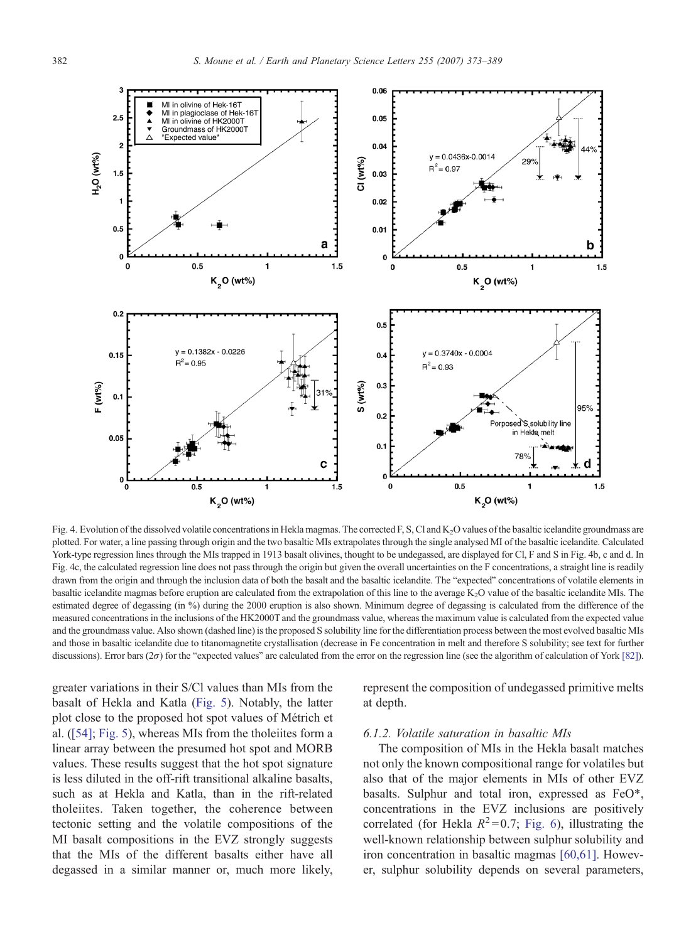<span id="page-9-0"></span>

Fig. 4. Evolution of the dissolved volatile concentrations in Hekla magmas. The corrected F, S, Cl and K2O values of the basaltic icelandite groundmass are plotted. For water, a line passing through origin and the two basaltic MIs extrapolates through the single analysed MI of the basaltic icelandite. Calculated York-type regression lines through the MIs trapped in 1913 basalt olivines, thought to be undegassed, are displayed for Cl, F and S in Fig. 4b, c and d. In Fig. 4c, the calculated regression line does not pass through the origin but given the overall uncertainties on the F concentrations, a straight line is readily drawn from the origin and through the inclusion data of both the basalt and the basaltic icelandite. The "expected" concentrations of volatile elements in basaltic icelandite magmas before eruption are calculated from the extrapolation of this line to the average  $K_2O$  value of the basaltic icelandite MIs. The estimated degree of degassing (in %) during the 2000 eruption is also shown. Minimum degree of degassing is calculated from the difference of the measured concentrations in the inclusions of the HK2000T and the groundmass value, whereas the maximum value is calculated from the expected value and the groundmass value. Also shown (dashed line) is the proposed S solubility line for the differentiation process between the most evolved basaltic MIs and those in basaltic icelandite due to titanomagnetite crystallisation (decrease in Fe concentration in melt and therefore S solubility; see text for further discussions). Error bars  $(2\sigma)$  for the "expected values" are calculated from the error on the regression line (see the algorithm of calculation of York [\[82\]\)](#page-16-0).

greater variations in their S/Cl values than MIs from the basalt of Hekla and Katla [\(Fig. 5\)](#page-10-0). Notably, the latter plot close to the proposed hot spot values of Métrich et al. [\(\[54\];](#page-15-0) [Fig. 5\)](#page-10-0), whereas MIs from the tholeiites form a linear array between the presumed hot spot and MORB values. These results suggest that the hot spot signature is less diluted in the off-rift transitional alkaline basalts, such as at Hekla and Katla, than in the rift-related tholeiites. Taken together, the coherence between tectonic setting and the volatile compositions of the MI basalt compositions in the EVZ strongly suggests that the MIs of the different basalts either have all degassed in a similar manner or, much more likely, represent the composition of undegassed primitive melts at depth.

## 6.1.2. Volatile saturation in basaltic MIs

The composition of MIs in the Hekla basalt matches not only the known compositional range for volatiles but also that of the major elements in MIs of other EVZ basalts. Sulphur and total iron, expressed as FeO\*, concentrations in the EVZ inclusions are positively correlated (for Hekla  $R^2 = 0.7$ ; [Fig. 6\)](#page-10-0), illustrating the well-known relationship between sulphur solubility and iron concentration in basaltic magmas [\[60,61\]](#page-15-0). However, sulphur solubility depends on several parameters,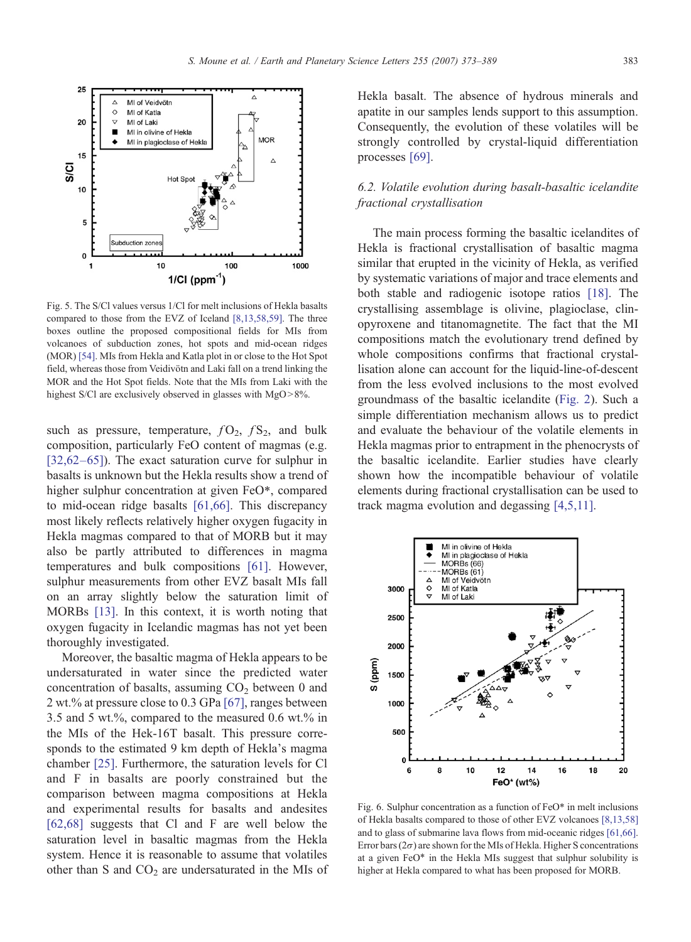<span id="page-10-0"></span>

Fig. 5. The S/Cl values versus 1/Cl for melt inclusions of Hekla basalts compared to those from the EVZ of Iceland [\[8,13,58,59\]](#page-14-0). The three boxes outline the proposed compositional fields for MIs from volcanoes of subduction zones, hot spots and mid-ocean ridges (MOR) [\[54\].](#page-15-0) MIs from Hekla and Katla plot in or close to the Hot Spot field, whereas those from Veidivötn and Laki fall on a trend linking the MOR and the Hot Spot fields. Note that the MIs from Laki with the highest S/Cl are exclusively observed in glasses with  $MgO > 8\%$ .

such as pressure, temperature,  $fO_2$ ,  $fS_2$ , and bulk composition, particularly FeO content of magmas (e.g. [\[32,62](#page-15-0)–65]). The exact saturation curve for sulphur in basalts is unknown but the Hekla results show a trend of higher sulphur concentration at given FeO\*, compared to mid-ocean ridge basalts [\[61,66\]](#page-15-0). This discrepancy most likely reflects relatively higher oxygen fugacity in Hekla magmas compared to that of MORB but it may also be partly attributed to differences in magma temperatures and bulk compositions [\[61\]](#page-15-0). However, sulphur measurements from other EVZ basalt MIs fall on an array slightly below the saturation limit of MORBs [\[13\].](#page-14-0) In this context, it is worth noting that oxygen fugacity in Icelandic magmas has not yet been thoroughly investigated.

Moreover, the basaltic magma of Hekla appears to be undersaturated in water since the predicted water concentration of basalts, assuming  $CO<sub>2</sub>$  between 0 and 2 wt.% at pressure close to 0.3 GPa [\[67\],](#page-16-0) ranges between 3.5 and 5 wt.%, compared to the measured 0.6 wt.% in the MIs of the Hek-16T basalt. This pressure corresponds to the estimated 9 km depth of Hekla's magma chamber [\[25\]](#page-14-0). Furthermore, the saturation levels for Cl and F in basalts are poorly constrained but the comparison between magma compositions at Hekla and experimental results for basalts and andesites [\[62,68\]](#page-15-0) suggests that Cl and F are well below the saturation level in basaltic magmas from the Hekla system. Hence it is reasonable to assume that volatiles other than S and  $CO<sub>2</sub>$  are undersaturated in the MIs of Hekla basalt. The absence of hydrous minerals and apatite in our samples lends support to this assumption. Consequently, the evolution of these volatiles will be strongly controlled by crystal-liquid differentiation processes [\[69\]](#page-16-0).

# 6.2. Volatile evolution during basalt-basaltic icelandite fractional crystallisation

The main process forming the basaltic icelandites of Hekla is fractional crystallisation of basaltic magma similar that erupted in the vicinity of Hekla, as verified by systematic variations of major and trace elements and both stable and radiogenic isotope ratios [\[18\].](#page-14-0) The crystallising assemblage is olivine, plagioclase, clinopyroxene and titanomagnetite. The fact that the MI compositions match the evolutionary trend defined by whole compositions confirms that fractional crystallisation alone can account for the liquid-line-of-descent from the less evolved inclusions to the most evolved groundmass of the basaltic icelandite ([Fig. 2](#page-5-0)). Such a simple differentiation mechanism allows us to predict and evaluate the behaviour of the volatile elements in Hekla magmas prior to entrapment in the phenocrysts of the basaltic icelandite. Earlier studies have clearly shown how the incompatible behaviour of volatile elements during fractional crystallisation can be used to track magma evolution and degassing [\[4,5,11\].](#page-14-0)



Fig. 6. Sulphur concentration as a function of  $FeO<sup>*</sup>$  in melt inclusions of Hekla basalts compared to those of other EVZ volcanoes [\[8,13,58\]](#page-14-0) and to glass of submarine lava flows from mid-oceanic ridges [\[61,66\]](#page-15-0). Error bars  $(2\sigma)$  are shown for the MIs of Hekla. Higher S concentrations at a given  $FeO^*$  in the Hekla MIs suggest that sulphur solubility is higher at Hekla compared to what has been proposed for MORB.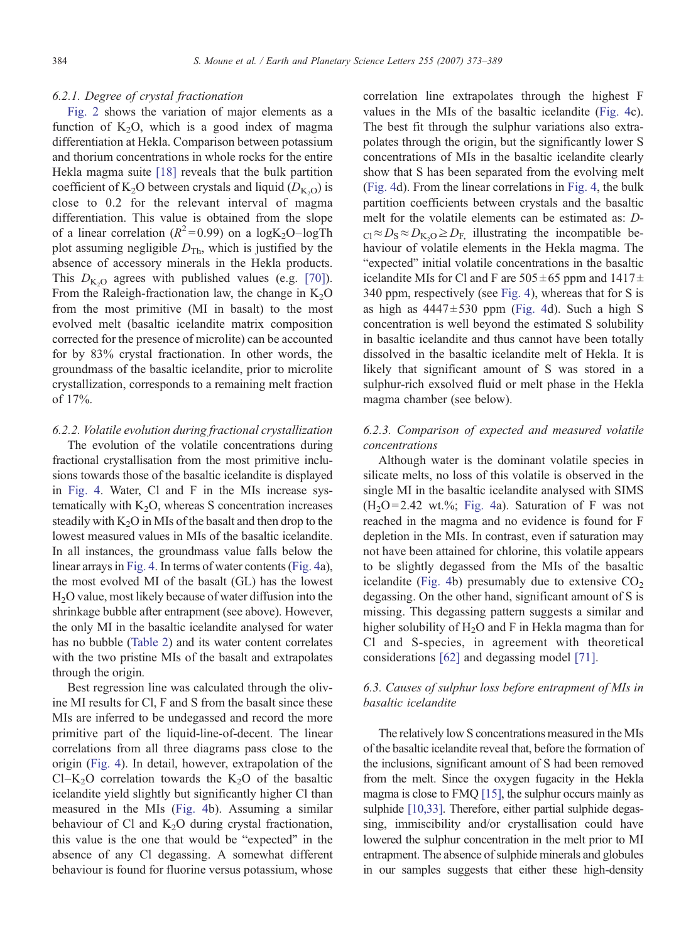#### 6.2.1. Degree of crystal fractionation

[Fig. 2](#page-5-0) shows the variation of major elements as a function of  $K_2O$ , which is a good index of magma differentiation at Hekla. Comparison between potassium and thorium concentrations in whole rocks for the entire Hekla magma suite [\[18\]](#page-14-0) reveals that the bulk partition coefficient of K<sub>2</sub>O between crystals and liquid ( $D_{K,0}$ ) is close to 0.2 for the relevant interval of magma differentiation. This value is obtained from the slope of a linear correlation ( $R^2$ =0.99) on a logK<sub>2</sub>O–logTh plot assuming negligible  $D_{\text{Th}}$ , which is justified by the absence of accessory minerals in the Hekla products. This  $D_{K,Q}$  agrees with published values (e.g. [\[70\]\)](#page-16-0). From the Raleigh-fractionation law, the change in  $K_2O$ from the most primitive (MI in basalt) to the most evolved melt (basaltic icelandite matrix composition corrected for the presence of microlite) can be accounted for by 83% crystal fractionation. In other words, the groundmass of the basaltic icelandite, prior to microlite crystallization, corresponds to a remaining melt fraction of 17%.

## 6.2.2. Volatile evolution during fractional crystallization

The evolution of the volatile concentrations during fractional crystallisation from the most primitive inclusions towards those of the basaltic icelandite is displayed in [Fig. 4.](#page-9-0) Water, Cl and F in the MIs increase systematically with  $K_2O$ , whereas S concentration increases steadily with  $K<sub>2</sub>O$  in MIs of the basalt and then drop to the lowest measured values in MIs of the basaltic icelandite. In all instances, the groundmass value falls below the linear arrays in [Fig. 4.](#page-9-0) In terms of water contents [\(Fig. 4](#page-9-0)a), the most evolved MI of the basalt (GL) has the lowest H2O value, most likely because of water diffusion into the shrinkage bubble after entrapment (see above). However, the only MI in the basaltic icelandite analysed for water has no bubble [\(Table 2\)](#page-4-0) and its water content correlates with the two pristine MIs of the basalt and extrapolates through the origin.

Best regression line was calculated through the olivine MI results for Cl, F and S from the basalt since these MIs are inferred to be undegassed and record the more primitive part of the liquid-line-of-decent. The linear correlations from all three diagrams pass close to the origin [\(Fig. 4](#page-9-0)). In detail, however, extrapolation of the  $Cl-K<sub>2</sub>O$  correlation towards the K<sub>2</sub>O of the basaltic icelandite yield slightly but significantly higher Cl than measured in the MIs ([Fig. 4](#page-9-0)b). Assuming a similar behaviour of Cl and  $K<sub>2</sub>O$  during crystal fractionation, this value is the one that would be "expected" in the absence of any Cl degassing. A somewhat different behaviour is found for fluorine versus potassium, whose correlation line extrapolates through the highest F values in the MIs of the basaltic icelandite [\(Fig. 4](#page-9-0)c). The best fit through the sulphur variations also extrapolates through the origin, but the significantly lower S concentrations of MIs in the basaltic icelandite clearly show that S has been separated from the evolving melt [\(Fig. 4](#page-9-0)d). From the linear correlations in [Fig. 4](#page-9-0), the bulk partition coefficients between crystals and the basaltic melt for the volatile elements can be estimated as: D- $_{\text{Cl}} \approx D_{\text{S}} \approx D_{\text{K}_2\text{O}} \ge D_{\text{F}_1}$  illustrating the incompatible behaviour of volatile elements in the Hekla magma. The "expected" initial volatile concentrations in the basaltic icelandite MIs for Cl and F are  $505 \pm 65$  ppm and  $1417 \pm$ 340 ppm, respectively (see [Fig. 4](#page-9-0)), whereas that for S is as high as  $4447 \pm 530$  ppm [\(Fig. 4](#page-9-0)d). Such a high S concentration is well beyond the estimated S solubility in basaltic icelandite and thus cannot have been totally dissolved in the basaltic icelandite melt of Hekla. It is likely that significant amount of S was stored in a sulphur-rich exsolved fluid or melt phase in the Hekla magma chamber (see below).

# 6.2.3. Comparison of expected and measured volatile concentrations

Although water is the dominant volatile species in silicate melts, no loss of this volatile is observed in the single MI in the basaltic icelandite analysed with SIMS  $(H<sub>2</sub>O = 2.42$  wt.%; [Fig. 4](#page-9-0)a). Saturation of F was not reached in the magma and no evidence is found for F depletion in the MIs. In contrast, even if saturation may not have been attained for chlorine, this volatile appears to be slightly degassed from the MIs of the basaltic icelandite ([Fig. 4](#page-9-0)b) presumably due to extensive  $CO<sub>2</sub>$ degassing. On the other hand, significant amount of S is missing. This degassing pattern suggests a similar and higher solubility of  $H_2O$  and F in Hekla magma than for Cl and S-species, in agreement with theoretical considerations [\[62\]](#page-15-0) and degassing model [\[71\]](#page-16-0).

# 6.3. Causes of sulphur loss before entrapment of MIs in basaltic icelandite

The relatively low S concentrations measured in the MIs of the basaltic icelandite reveal that, before the formation of the inclusions, significant amount of S had been removed from the melt. Since the oxygen fugacity in the Hekla magma is close to FMQ [\[15\]](#page-14-0), the sulphur occurs mainly as sulphide [\[10,33\].](#page-14-0) Therefore, either partial sulphide degassing, immiscibility and/or crystallisation could have lowered the sulphur concentration in the melt prior to MI entrapment. The absence of sulphide minerals and globules in our samples suggests that either these high-density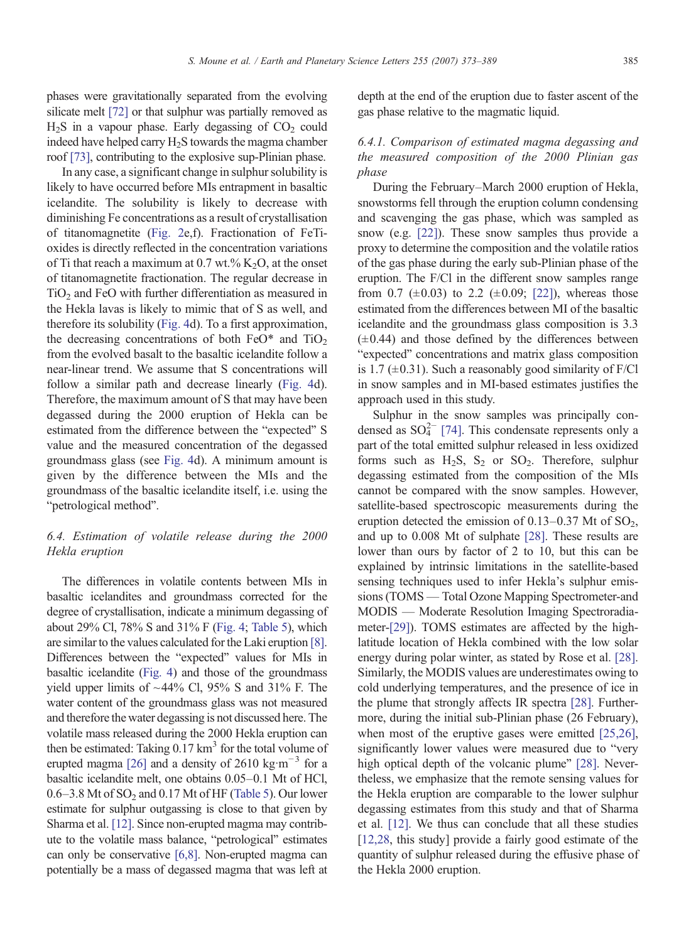phases were gravitationally separated from the evolving silicate melt [\[72\]](#page-16-0) or that sulphur was partially removed as  $H<sub>2</sub>S$  in a vapour phase. Early degassing of  $CO<sub>2</sub>$  could indeed have helped carry H2S towards the magma chamber roof [\[73\],](#page-16-0) contributing to the explosive sup-Plinian phase.

In any case, a significant change in sulphur solubility is likely to have occurred before MIs entrapment in basaltic icelandite. The solubility is likely to decrease with diminishing Fe concentrations as a result of crystallisation of titanomagnetite [\(Fig. 2](#page-5-0)e,f). Fractionation of FeTioxides is directly reflected in the concentration variations of Ti that reach a maximum at  $0.7$  wt.% K<sub>2</sub>O, at the onset of titanomagnetite fractionation. The regular decrease in  $TiO<sub>2</sub>$  and FeO with further differentiation as measured in the Hekla lavas is likely to mimic that of S as well, and therefore its solubility [\(Fig. 4d](#page-9-0)). To a first approximation, the decreasing concentrations of both  $FeO^*$  and  $TiO<sub>2</sub>$ from the evolved basalt to the basaltic icelandite follow a near-linear trend. We assume that S concentrations will follow a similar path and decrease linearly ([Fig. 4](#page-9-0)d). Therefore, the maximum amount of S that may have been degassed during the 2000 eruption of Hekla can be estimated from the difference between the "expected" S value and the measured concentration of the degassed groundmass glass (see [Fig. 4d](#page-9-0)). A minimum amount is given by the difference between the MIs and the groundmass of the basaltic icelandite itself, i.e. using the "petrological method".

# 6.4. Estimation of volatile release during the 2000 Hekla eruption

The differences in volatile contents between MIs in basaltic icelandites and groundmass corrected for the degree of crystallisation, indicate a minimum degassing of about 29% Cl, 78% S and 31% F ([Fig. 4](#page-9-0); [Table 5\)](#page-13-0), which are similar to the values calculated for the Laki eruption [\[8\].](#page-14-0) Differences between the "expected" values for MIs in basaltic icelandite ([Fig. 4](#page-9-0)) and those of the groundmass yield upper limits of  $\sim$ 44% Cl, 95% S and 31% F. The water content of the groundmass glass was not measured and therefore the water degassing is not discussed here. The volatile mass released during the 2000 Hekla eruption can then be estimated: Taking  $0.17 \text{ km}^3$  for the total volume of erupted magma [\[26\]](#page-14-0) and a density of 2610 kg·m−<sup>3</sup> for a basaltic icelandite melt, one obtains 0.05–0.1 Mt of HCl,  $0.6-3.8$  Mt of SO<sub>2</sub> and  $0.17$  Mt of HF [\(Table 5](#page-13-0)). Our lower estimate for sulphur outgassing is close to that given by Sharma et al. [\[12\].](#page-14-0) Since non-erupted magma may contribute to the volatile mass balance, "petrological" estimates can only be conservative [\[6,8\].](#page-14-0) Non-erupted magma can potentially be a mass of degassed magma that was left at depth at the end of the eruption due to faster ascent of the gas phase relative to the magmatic liquid.

# 6.4.1. Comparison of estimated magma degassing and the measured composition of the 2000 Plinian gas phase

During the February–March 2000 eruption of Hekla, snowstorms fell through the eruption column condensing and scavenging the gas phase, which was sampled as snow (e.g. [\[22\]\)](#page-14-0). These snow samples thus provide a proxy to determine the composition and the volatile ratios of the gas phase during the early sub-Plinian phase of the eruption. The F/Cl in the different snow samples range from 0.7 ( $\pm$ 0.03) to 2.2 ( $\pm$ 0.09; [\[22\]\)](#page-14-0), whereas those estimated from the differences between MI of the basaltic icelandite and the groundmass glass composition is 3.3  $(\pm 0.44)$  and those defined by the differences between "expected" concentrations and matrix glass composition is 1.7 ( $\pm$ 0.31). Such a reasonably good similarity of F/Cl in snow samples and in MI-based estimates justifies the approach used in this study.

Sulphur in the snow samples was principally condensed as  $SO_4^{2-}$  [\[74\].](#page-16-0) This condensate represents only a part of the total emitted sulphur released in less oxidized forms such as  $H_2S$ ,  $S_2$  or  $SO_2$ . Therefore, sulphur degassing estimated from the composition of the MIs cannot be compared with the snow samples. However, satellite-based spectroscopic measurements during the eruption detected the emission of  $0.13-0.37$  Mt of SO<sub>2</sub>, and up to 0.008 Mt of sulphate [\[28\]](#page-14-0). These results are lower than ours by factor of 2 to 10, but this can be explained by intrinsic limitations in the satellite-based sensing techniques used to infer Hekla's sulphur emissions (TOMS— Total Ozone Mapping Spectrometer-and MODIS — Moderate Resolution Imaging Spectroradiameter-[\[29\]\)](#page-15-0). TOMS estimates are affected by the highlatitude location of Hekla combined with the low solar energy during polar winter, as stated by Rose et al. [\[28\].](#page-14-0) Similarly, the MODIS values are underestimates owing to cold underlying temperatures, and the presence of ice in the plume that strongly affects IR spectra [\[28\].](#page-14-0) Furthermore, during the initial sub-Plinian phase (26 February), when most of the eruptive gases were emitted [\[25,26\],](#page-14-0) significantly lower values were measured due to "very high optical depth of the volcanic plume" [\[28\]](#page-14-0). Nevertheless, we emphasize that the remote sensing values for the Hekla eruption are comparable to the lower sulphur degassing estimates from this study and that of Sharma et al. [\[12\].](#page-14-0) We thus can conclude that all these studies [\[12,28](#page-14-0), this study] provide a fairly good estimate of the quantity of sulphur released during the effusive phase of the Hekla 2000 eruption.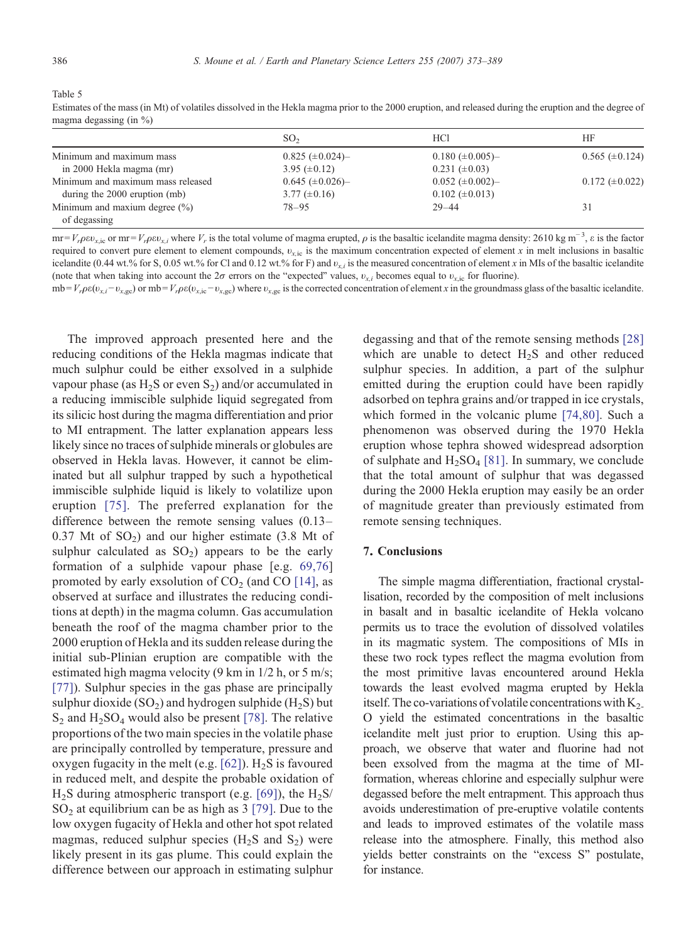<span id="page-13-0"></span>

|  | ×<br>۹ |
|--|--------|
|--|--------|

Estimates of the mass (in Mt) of volatiles dissolved in the Hekla magma prior to the 2000 eruption, and released during the eruption and the degree of magma degassing (in %)

|                                   | SO <sub>2</sub>         | HC <sub>1</sub>         | HF                  |
|-----------------------------------|-------------------------|-------------------------|---------------------|
| Minimum and maximum mass          | $0.825 \ (\pm 0.024) -$ | $0.180 \ (\pm 0.005) -$ | $0.565 (\pm 0.124)$ |
| in 2000 Hekla magma (mr)          | 3.95 $(\pm 0.12)$       | $0.231 (\pm 0.03)$      |                     |
| Minimum and maximum mass released | $0.645 \ (\pm 0.026)$   | $0.052 \ (\pm 0.002) -$ | $0.172 (\pm 0.022)$ |
| during the $2000$ eruption (mb)   | $3.77 (\pm 0.16)$       | $0.102 \ (\pm 0.013)$   |                     |
| Minimum and maxium degree $(\%)$  | $78 - 95$               | $29 - 44$               | 31                  |
| of degassing                      |                         |                         |                     |

mr =  $V_r \rho \varepsilon v_{x,i}$  or mr =  $V_r \rho \varepsilon v_{x,i}$  where  $V_r$  is the total volume of magma erupted,  $\rho$  is the basaltic icelandite magma density: 2610 kg m<sup>-3</sup>,  $\varepsilon$  is the factor required to convert pure element to element compounds,  $v_{x,ic}$  is the maximum concentration expected of element x in melt inclusions in basaltic icelandite (0.44 wt.% for S, 0.05 wt.% for Cl and 0.12 wt.% for F) and  $v_{x,i}$  is the measured concentration of element x in MIs of the basaltic icelandite (note that when taking into account the  $2\sigma$  errors on the "expected" values,  $v_{x,i}$  becomes equal to  $v_{x,i}$  for fluorine).

mb =  $V_r \rho \varepsilon (v_{x,i} - v_{x,\text{gc}})$  or mb =  $V_r \rho \varepsilon (v_{x,i} - v_{x,\text{gc}})$  where  $v_{x,\text{gc}}$  is the corrected concentration of element x in the groundmass glass of the basaltic icelandite.

The improved approach presented here and the reducing conditions of the Hekla magmas indicate that much sulphur could be either exsolved in a sulphide vapour phase (as  $H_2S$  or even  $S_2$ ) and/or accumulated in a reducing immiscible sulphide liquid segregated from its silicic host during the magma differentiation and prior to MI entrapment. The latter explanation appears less likely since no traces of sulphide minerals or globules are observed in Hekla lavas. However, it cannot be eliminated but all sulphur trapped by such a hypothetical immiscible sulphide liquid is likely to volatilize upon eruption [\[75\].](#page-16-0) The preferred explanation for the difference between the remote sensing values (0.13–  $0.37$  Mt of SO<sub>2</sub>) and our higher estimate (3.8 Mt of sulphur calculated as  $SO_2$ ) appears to be the early formation of a sulphide vapour phase [e.g. [69,76](#page-16-0)] promoted by early exsolution of  $CO<sub>2</sub>$  (and CO [\[14\],](#page-14-0) as observed at surface and illustrates the reducing conditions at depth) in the magma column. Gas accumulation beneath the roof of the magma chamber prior to the 2000 eruption of Hekla and its sudden release during the initial sub-Plinian eruption are compatible with the estimated high magma velocity (9 km in 1/2 h, or 5 m/s; [\[77\]\)](#page-16-0). Sulphur species in the gas phase are principally sulphur dioxide  $(SO_2)$  and hydrogen sulphide  $(H_2S)$  but  $S_2$  and H<sub>2</sub>SO<sub>4</sub> would also be present [\[78\].](#page-16-0) The relative proportions of the two main species in the volatile phase are principally controlled by temperature, pressure and oxygen fugacity in the melt (e.g.  $[62]$ ).  $H_2S$  is favoured in reduced melt, and despite the probable oxidation of  $H_2S$  during atmospheric transport (e.g. [\[69\]\)](#page-16-0), the  $H_2S$ /  $SO<sub>2</sub>$  at equilibrium can be as high as 3 [\[79\]](#page-16-0). Due to the low oxygen fugacity of Hekla and other hot spot related magmas, reduced sulphur species ( $H_2S$  and  $S_2$ ) were likely present in its gas plume. This could explain the difference between our approach in estimating sulphur

degassing and that of the remote sensing methods [\[28\]](#page-14-0) which are unable to detect  $H_2S$  and other reduced sulphur species. In addition, a part of the sulphur emitted during the eruption could have been rapidly adsorbed on tephra grains and/or trapped in ice crystals, which formed in the volcanic plume [\[74,80\]](#page-16-0). Such a phenomenon was observed during the 1970 Hekla eruption whose tephra showed widespread adsorption of sulphate and  $H_2SO_4$  [\[81\]](#page-16-0). In summary, we conclude that the total amount of sulphur that was degassed during the 2000 Hekla eruption may easily be an order of magnitude greater than previously estimated from remote sensing techniques.

## 7. Conclusions

The simple magma differentiation, fractional crystallisation, recorded by the composition of melt inclusions in basalt and in basaltic icelandite of Hekla volcano permits us to trace the evolution of dissolved volatiles in its magmatic system. The compositions of MIs in these two rock types reflect the magma evolution from the most primitive lavas encountered around Hekla towards the least evolved magma erupted by Hekla itself. The co-variations of volatile concentrations with  $K_2$ . O yield the estimated concentrations in the basaltic icelandite melt just prior to eruption. Using this approach, we observe that water and fluorine had not been exsolved from the magma at the time of MIformation, whereas chlorine and especially sulphur were degassed before the melt entrapment. This approach thus avoids underestimation of pre-eruptive volatile contents and leads to improved estimates of the volatile mass release into the atmosphere. Finally, this method also yields better constraints on the "excess S" postulate, for instance.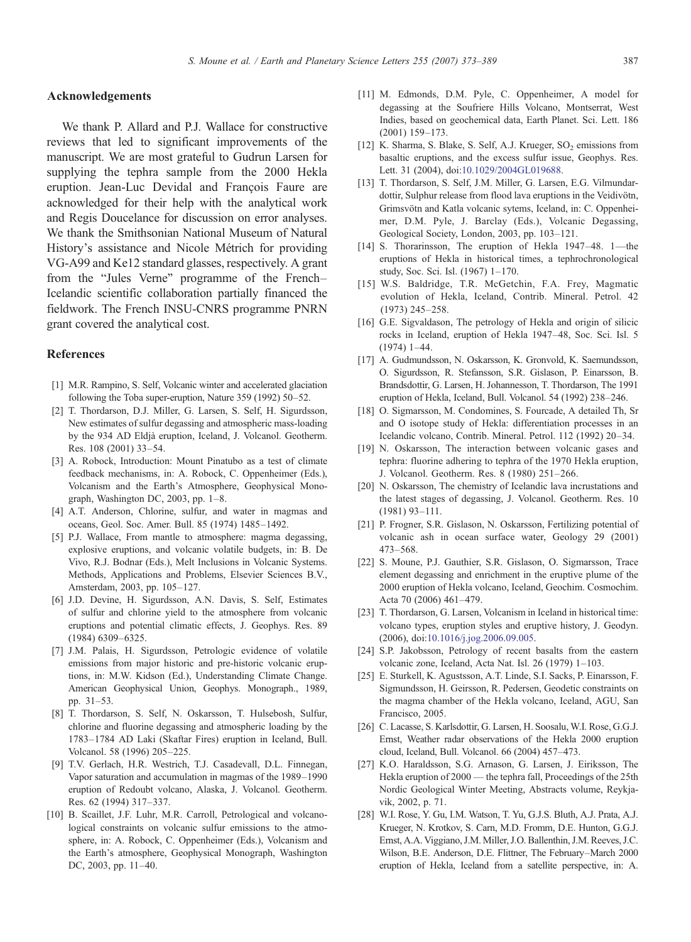#### <span id="page-14-0"></span>Acknowledgements

We thank P. Allard and P.J. Wallace for constructive reviews that led to significant improvements of the manuscript. We are most grateful to Gudrun Larsen for supplying the tephra sample from the 2000 Hekla eruption. Jean-Luc Devidal and François Faure are acknowledged for their help with the analytical work and Regis Doucelance for discussion on error analyses. We thank the Smithsonian National Museum of Natural History's assistance and Nicole Métrich for providing VG-A99 and Ke12 standard glasses, respectively. A grant from the "Jules Verne" programme of the French– Icelandic scientific collaboration partially financed the fieldwork. The French INSU-CNRS programme PNRN grant covered the analytical cost.

#### References

- [1] M.R. Rampino, S. Self, Volcanic winter and accelerated glaciation following the Toba super-eruption, Nature 359 (1992) 50–52.
- [2] T. Thordarson, D.J. Miller, G. Larsen, S. Self, H. Sigurdsson, New estimates of sulfur degassing and atmospheric mass-loading by the 934 AD Eldjà eruption, Iceland, J. Volcanol. Geotherm. Res. 108 (2001) 33–54.
- [3] A. Robock, Introduction: Mount Pinatubo as a test of climate feedback mechanisms, in: A. Robock, C. Oppenheimer (Eds.), Volcanism and the Earth's Atmosphere, Geophysical Monograph, Washington DC, 2003, pp. 1–8.
- [4] A.T. Anderson, Chlorine, sulfur, and water in magmas and oceans, Geol. Soc. Amer. Bull. 85 (1974) 1485–1492.
- [5] P.J. Wallace, From mantle to atmosphere: magma degassing, explosive eruptions, and volcanic volatile budgets, in: B. De Vivo, R.J. Bodnar (Eds.), Melt Inclusions in Volcanic Systems. Methods, Applications and Problems, Elsevier Sciences B.V., Amsterdam, 2003, pp. 105–127.
- [6] J.D. Devine, H. Sigurdsson, A.N. Davis, S. Self, Estimates of sulfur and chlorine yield to the atmosphere from volcanic eruptions and potential climatic effects, J. Geophys. Res. 89 (1984) 6309–6325.
- [7] J.M. Palais, H. Sigurdsson, Petrologic evidence of volatile emissions from major historic and pre-historic volcanic eruptions, in: M.W. Kidson (Ed.), Understanding Climate Change. American Geophysical Union, Geophys. Monograph., 1989, pp. 31–53.
- [8] T. Thordarson, S. Self, N. Oskarsson, T. Hulsebosh, Sulfur, chlorine and fluorine degassing and atmospheric loading by the 1783–1784 AD Laki (Skaftar Fires) eruption in Iceland, Bull. Volcanol. 58 (1996) 205–225.
- [9] T.V. Gerlach, H.R. Westrich, T.J. Casadevall, D.L. Finnegan, Vapor saturation and accumulation in magmas of the 1989–1990 eruption of Redoubt volcano, Alaska, J. Volcanol. Geotherm. Res. 62 (1994) 317–337.
- [10] B. Scaillet, J.F. Luhr, M.R. Carroll, Petrological and volcanological constraints on volcanic sulfur emissions to the atmosphere, in: A. Robock, C. Oppenheimer (Eds.), Volcanism and the Earth's atmosphere, Geophysical Monograph, Washington DC, 2003, pp. 11–40.
- [11] M. Edmonds, D.M. Pyle, C. Oppenheimer, A model for degassing at the Soufriere Hills Volcano, Montserrat, West Indies, based on geochemical data, Earth Planet. Sci. Lett. 186 (2001) 159–173.
- [12] K. Sharma, S. Blake, S. Self, A.J. Krueger,  $SO_2$  emissions from basaltic eruptions, and the excess sulfur issue, Geophys. Res. Lett. 31 (2004), [doi:10.1029/2004GL019688.](http://dx.doi.org/10.1029/2004GL019688)
- [13] T. Thordarson, S. Self, J.M. Miller, G. Larsen, E.G. Vilmundardottir, Sulphur release from flood lava eruptions in the Veidivötn, Grimsvötn and Katla volcanic sytems, Iceland, in: C. Oppenheimer, D.M. Pyle, J. Barclay (Eds.), Volcanic Degassing, Geological Society, London, 2003, pp. 103–121.
- [14] S. Thorarinsson, The eruption of Hekla 1947–48. 1—the eruptions of Hekla in historical times, a tephrochronological study, Soc. Sci. Isl. (1967) 1–170.
- [15] W.S. Baldridge, T.R. McGetchin, F.A. Frey, Magmatic evolution of Hekla, Iceland, Contrib. Mineral. Petrol. 42 (1973) 245–258.
- [16] G.E. Sigvaldason, The petrology of Hekla and origin of silicic rocks in Iceland, eruption of Hekla 1947–48, Soc. Sci. Isl. 5 (1974) 1–44.
- [17] A. Gudmundsson, N. Oskarsson, K. Gronvold, K. Saemundsson, O. Sigurdsson, R. Stefansson, S.R. Gislason, P. Einarsson, B. Brandsdottir, G. Larsen, H. Johannesson, T. Thordarson, The 1991 eruption of Hekla, Iceland, Bull. Volcanol. 54 (1992) 238–246.
- [18] O. Sigmarsson, M. Condomines, S. Fourcade, A detailed Th, Sr and O isotope study of Hekla: differentiation processes in an Icelandic volcano, Contrib. Mineral. Petrol. 112 (1992) 20–34.
- [19] N. Oskarsson, The interaction between volcanic gases and tephra: fluorine adhering to tephra of the 1970 Hekla eruption, J. Volcanol. Geotherm. Res. 8 (1980) 251–266.
- [20] N. Oskarsson, The chemistry of Icelandic lava incrustations and the latest stages of degassing, J. Volcanol. Geotherm. Res. 10 (1981) 93–111.
- [21] P. Frogner, S.R. Gislason, N. Oskarsson, Fertilizing potential of volcanic ash in ocean surface water, Geology 29 (2001) 473–568.
- [22] S. Moune, P.J. Gauthier, S.R. Gislason, O. Sigmarsson, Trace element degassing and enrichment in the eruptive plume of the 2000 eruption of Hekla volcano, Iceland, Geochim. Cosmochim. Acta 70 (2006) 461–479.
- [23] T. Thordarson, G. Larsen, Volcanism in Iceland in historical time: volcano types, eruption styles and eruptive history, J. Geodyn. (2006), [doi:10.1016/j.jog.2006.09.005.](http://dx.doi.org/10.1016/j.jog.2006.09.005)
- [24] S.P. Jakobsson, Petrology of recent basalts from the eastern volcanic zone, Iceland, Acta Nat. Isl. 26 (1979) 1–103.
- [25] E. Sturkell, K. Agustsson, A.T. Linde, S.I. Sacks, P. Einarsson, F. Sigmundsson, H. Geirsson, R. Pedersen, Geodetic constraints on the magma chamber of the Hekla volcano, Iceland, AGU, San Francisco, 2005.
- [26] C. Lacasse, S. Karlsdottir, G. Larsen, H. Soosalu, W.I. Rose, G.G.J. Ernst, Weather radar observations of the Hekla 2000 eruption cloud, Iceland, Bull. Volcanol. 66 (2004) 457–473.
- [27] K.O. Haraldsson, S.G. Arnason, G. Larsen, J. Eiriksson, The Hekla eruption of 2000 — the tephra fall, Proceedings of the 25th Nordic Geological Winter Meeting, Abstracts volume, Reykjavik, 2002, p. 71.
- [28] W.I. Rose, Y. Gu, I.M. Watson, T. Yu, G.J.S. Bluth, A.J. Prata, A.J. Krueger, N. Krotkov, S. Carn, M.D. Fromm, D.E. Hunton, G.G.J. Ernst, A.A. Viggiano, J.M. Miller, J.O. Ballenthin, J.M. Reeves, J.C. Wilson, B.E. Anderson, D.E. Flittner, The February–March 2000 eruption of Hekla, Iceland from a satellite perspective, in: A.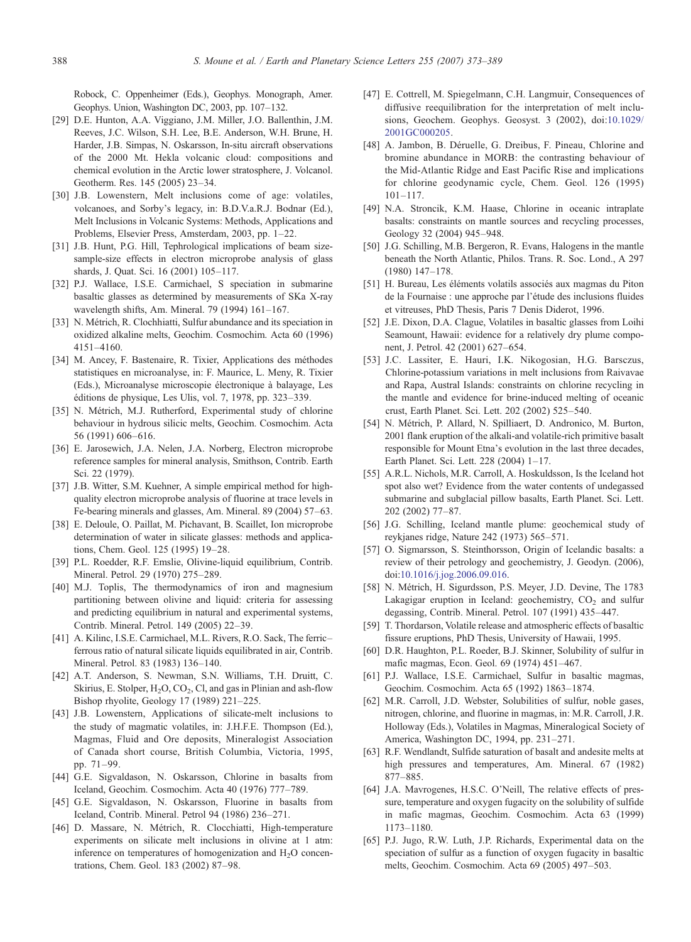<span id="page-15-0"></span>Robock, C. Oppenheimer (Eds.), Geophys. Monograph, Amer. Geophys. Union, Washington DC, 2003, pp. 107–132.

- [29] D.E. Hunton, A.A. Viggiano, J.M. Miller, J.O. Ballenthin, J.M. Reeves, J.C. Wilson, S.H. Lee, B.E. Anderson, W.H. Brune, H. Harder, J.B. Simpas, N. Oskarsson, In-situ aircraft observations of the 2000 Mt. Hekla volcanic cloud: compositions and chemical evolution in the Arctic lower stratosphere, J. Volcanol. Geotherm. Res. 145 (2005) 23–34.
- [30] J.B. Lowenstern, Melt inclusions come of age: volatiles, volcanoes, and Sorby's legacy, in: B.D.V.a.R.J. Bodnar (Ed.), Melt Inclusions in Volcanic Systems: Methods, Applications and Problems, Elsevier Press, Amsterdam, 2003, pp. 1–22.
- [31] J.B. Hunt, P.G. Hill, Tephrological implications of beam sizesample-size effects in electron microprobe analysis of glass shards, J. Quat. Sci. 16 (2001) 105–117.
- [32] P.J. Wallace, I.S.E. Carmichael, S speciation in submarine basaltic glasses as determined by measurements of SKa X-ray wavelength shifts, Am. Mineral. 79 (1994) 161–167.
- [33] N. Métrich, R. Clochhiatti, Sulfur abundance and its speciation in oxidized alkaline melts, Geochim. Cosmochim. Acta 60 (1996) 4151–4160.
- [34] M. Ancey, F. Bastenaire, R. Tixier, Applications des méthodes statistiques en microanalyse, in: F. Maurice, L. Meny, R. Tixier (Eds.), Microanalyse microscopie électronique à balayage, Les éditions de physique, Les Ulis, vol. 7, 1978, pp. 323–339.
- [35] N. Métrich, M.J. Rutherford, Experimental study of chlorine behaviour in hydrous silicic melts, Geochim. Cosmochim. Acta 56 (1991) 606–616.
- [36] E. Jarosewich, J.A. Nelen, J.A. Norberg, Electron microprobe reference samples for mineral analysis, Smithson, Contrib. Earth Sci. 22 (1979).
- [37] J.B. Witter, S.M. Kuehner, A simple empirical method for highquality electron microprobe analysis of fluorine at trace levels in Fe-bearing minerals and glasses, Am. Mineral. 89 (2004) 57–63.
- [38] E. Deloule, O. Paillat, M. Pichavant, B. Scaillet, Ion microprobe determination of water in silicate glasses: methods and applications, Chem. Geol. 125 (1995) 19–28.
- [39] P.L. Roedder, R.F. Emslie, Olivine-liquid equilibrium, Contrib. Mineral. Petrol. 29 (1970) 275–289.
- [40] M.J. Toplis, The thermodynamics of iron and magnesium partitioning between olivine and liquid: criteria for assessing and predicting equilibrium in natural and experimental systems, Contrib. Mineral. Petrol. 149 (2005) 22–39.
- [41] A. Kilinc, I.S.E. Carmichael, M.L. Rivers, R.O. Sack, The ferric– ferrous ratio of natural silicate liquids equilibrated in air, Contrib. Mineral. Petrol. 83 (1983) 136–140.
- [42] A.T. Anderson, S. Newman, S.N. Williams, T.H. Druitt, C. Skirius, E. Stolper, H<sub>2</sub>O, CO<sub>2</sub>, Cl, and gas in Plinian and ash-flow Bishop rhyolite, Geology 17 (1989) 221–225.
- [43] J.B. Lowenstern, Applications of silicate-melt inclusions to the study of magmatic volatiles, in: J.H.F.E. Thompson (Ed.), Magmas, Fluid and Ore deposits, Mineralogist Association of Canada short course, British Columbia, Victoria, 1995, pp. 71–99.
- [44] G.E. Sigvaldason, N. Oskarsson, Chlorine in basalts from Iceland, Geochim. Cosmochim. Acta 40 (1976) 777–789.
- [45] G.E. Sigvaldason, N. Oskarsson, Fluorine in basalts from Iceland, Contrib. Mineral. Petrol 94 (1986) 236–271.
- [46] D. Massare, N. Métrich, R. Clocchiatti, High-temperature experiments on silicate melt inclusions in olivine at 1 atm: inference on temperatures of homogenization and  $H_2O$  concentrations, Chem. Geol. 183 (2002) 87–98.
- [47] E. Cottrell, M. Spiegelmann, C.H. Langmuir, Consequences of diffusive reequilibration for the interpretation of melt inclusions, Geochem. Geophys. Geosyst. 3 (2002), [doi:10.1029/](http://dx.doi.org/2001GC000205) 2001GC000205.
- [48] A. Jambon, B. Déruelle, G. Dreibus, F. Pineau, Chlorine and bromine abundance in MORB: the contrasting behaviour of the Mid-Atlantic Ridge and East Pacific Rise and implications for chlorine geodynamic cycle, Chem. Geol. 126 (1995) 101–117.
- [49] N.A. Stroncik, K.M. Haase, Chlorine in oceanic intraplate basalts: constraints on mantle sources and recycling processes, Geology 32 (2004) 945–948.
- [50] J.G. Schilling, M.B. Bergeron, R. Evans, Halogens in the mantle beneath the North Atlantic, Philos. Trans. R. Soc. Lond., A 297 (1980) 147–178.
- [51] H. Bureau, Les éléments volatils associés aux magmas du Piton de la Fournaise : une approche par l'étude des inclusions fluides et vitreuses, PhD Thesis, Paris 7 Denis Diderot, 1996.
- [52] J.E. Dixon, D.A. Clague, Volatiles in basaltic glasses from Loihi Seamount, Hawaii: evidence for a relatively dry plume component, J. Petrol. 42 (2001) 627–654.
- [53] J.C. Lassiter, E. Hauri, I.K. Nikogosian, H.G. Barsczus, Chlorine-potassium variations in melt inclusions from Raivavae and Rapa, Austral Islands: constraints on chlorine recycling in the mantle and evidence for brine-induced melting of oceanic crust, Earth Planet. Sci. Lett. 202 (2002) 525–540.
- [54] N. Métrich, P. Allard, N. Spilliaert, D. Andronico, M. Burton, 2001 flank eruption of the alkali-and volatile-rich primitive basalt responsible for Mount Etna's evolution in the last three decades, Earth Planet. Sci. Lett. 228 (2004) 1–17.
- [55] A.R.L. Nichols, M.R. Carroll, A. Hoskuldsson, Is the Iceland hot spot also wet? Evidence from the water contents of undegassed submarine and subglacial pillow basalts, Earth Planet. Sci. Lett. 202 (2002) 77–87.
- [56] J.G. Schilling, Iceland mantle plume: geochemical study of reykjanes ridge, Nature 242 (1973) 565–571.
- [57] O. Sigmarsson, S. Steinthorsson, Origin of Icelandic basalts: a review of their petrology and geochemistry, J. Geodyn. (2006), [doi:10.1016/j.jog.2006.09.016.](http://dx.doi.org/10.1016/j.jog.2006.09.016)
- [58] N. Métrich, H. Sigurdsson, P.S. Meyer, J.D. Devine, The 1783 Lakagigar eruption in Iceland: geochemistry,  $CO<sub>2</sub>$  and sulfur degassing, Contrib. Mineral. Petrol. 107 (1991) 435–447.
- [59] T. Thordarson, Volatile release and atmospheric effects of basaltic fissure eruptions, PhD Thesis, University of Hawaii, 1995.
- [60] D.R. Haughton, P.L. Roeder, B.J. Skinner, Solubility of sulfur in mafic magmas, Econ. Geol. 69 (1974) 451–467.
- [61] P.J. Wallace, I.S.E. Carmichael, Sulfur in basaltic magmas, Geochim. Cosmochim. Acta 65 (1992) 1863–1874.
- [62] M.R. Carroll, J.D. Webster, Solubilities of sulfur, noble gases, nitrogen, chlorine, and fluorine in magmas, in: M.R. Carroll, J.R. Holloway (Eds.), Volatiles in Magmas, Mineralogical Society of America, Washington DC, 1994, pp. 231–271.
- [63] R.F. Wendlandt, Sulfide saturation of basalt and andesite melts at high pressures and temperatures, Am. Mineral. 67 (1982) 877–885.
- [64] J.A. Mavrogenes, H.S.C. O'Neill, The relative effects of pressure, temperature and oxygen fugacity on the solubility of sulfide in mafic magmas, Geochim. Cosmochim. Acta 63 (1999) 1173–1180.
- [65] P.J. Jugo, R.W. Luth, J.P. Richards, Experimental data on the speciation of sulfur as a function of oxygen fugacity in basaltic melts, Geochim. Cosmochim. Acta 69 (2005) 497–503.